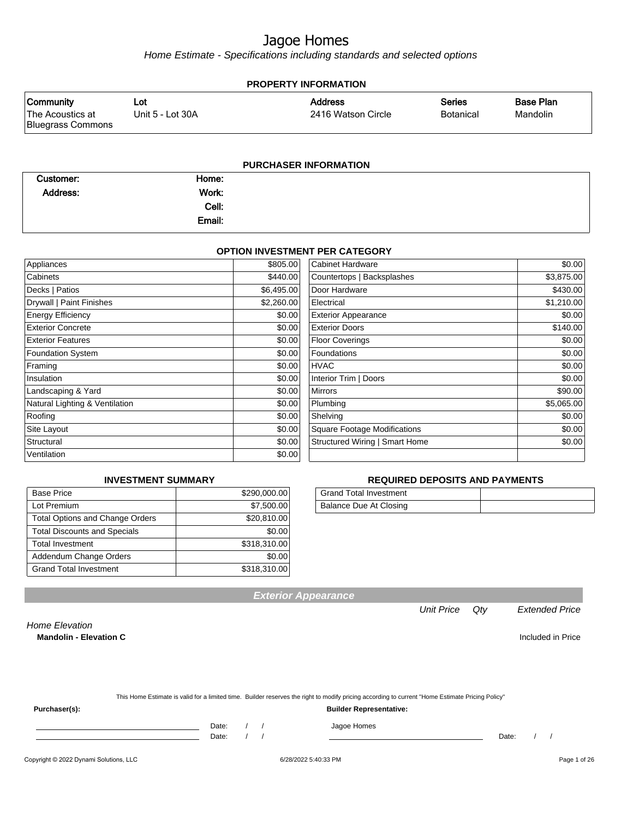Home Estimate - Specifications including standards and selected options

| <b>PROPERTY INFORMATION</b>                               |                         |                                      |                                   |                       |  |  |  |  |
|-----------------------------------------------------------|-------------------------|--------------------------------------|-----------------------------------|-----------------------|--|--|--|--|
| <b>Community</b><br>The Acoustics at<br>Bluegrass Commons | Lot<br>Unit 5 - Lot 30A | <b>Address</b><br>2416 Watson Circle | <b>Series</b><br><b>Botanical</b> | Base Plan<br>Mandolin |  |  |  |  |
|                                                           |                         |                                      |                                   |                       |  |  |  |  |

#### **PURCHASER INFORMATION**

| Customer: | Home:  |  |
|-----------|--------|--|
| Address:  | Work:  |  |
|           | Cell:  |  |
|           | Email: |  |

#### **OPTION INVESTMENT PER CATEGORY**

| Appliances                     | \$805.00   | <b>Cabinet Hardware</b>             | \$0.00     |
|--------------------------------|------------|-------------------------------------|------------|
| Cabinets                       | \$440.00   | Countertops   Backsplashes          | \$3,875.00 |
| Decks   Patios                 | \$6,495.00 | Door Hardware                       | \$430.00   |
| Drywall   Paint Finishes       | \$2,260.00 | Electrical                          | \$1,210.00 |
| <b>Energy Efficiency</b>       | \$0.00     | <b>Exterior Appearance</b>          | \$0.00     |
| <b>Exterior Concrete</b>       | \$0.00     | <b>Exterior Doors</b>               | \$140.00   |
| <b>Exterior Features</b>       | \$0.00     | <b>Floor Coverings</b>              | \$0.00     |
| <b>Foundation System</b>       | \$0.00     | Foundations                         | \$0.00     |
| Framing                        | \$0.00     | <b>HVAC</b>                         | \$0.00     |
| Insulation                     | \$0.00     | Interior Trim   Doors               | \$0.00     |
| Landscaping & Yard             | \$0.00     | <b>Mirrors</b>                      | \$90.00    |
| Natural Lighting & Ventilation | \$0.00     | Plumbing                            | \$5,065.00 |
| Roofing                        | \$0.00     | Shelving                            | \$0.00     |
| Site Layout                    | \$0.00     | <b>Square Footage Modifications</b> | \$0.00     |
| Structural                     | \$0.00     | Structured Wiring   Smart Home      | \$0.00     |
| Ventilation                    | \$0.00     |                                     |            |

#### **INVESTMENT SUMMARY**

| <b>Base Price</b>                      | \$290,000.00 |
|----------------------------------------|--------------|
| Lot Premium                            | \$7,500.00   |
| <b>Total Options and Change Orders</b> | \$20,810.00  |
| <b>Total Discounts and Specials</b>    | \$0.00       |
| <b>Total Investment</b>                | \$318,310.00 |
| Addendum Change Orders                 | \$0.00       |
| <b>Grand Total Investment</b>          | \$318,310.00 |

#### **REQUIRED DEPOSITS AND PAYMENTS**

| Grand Total Investment |  |
|------------------------|--|
| Balance Due At Closing |  |

**Exterior Appearance**

Unit Price Qty Extended Price

Home Elevation

**Mandolin - Elevation C Included in Price** 

|               | This Home Estimate is valid for a limited time. Builder reserves the right to modify pricing according to current "Home Estimate Pricing Policy" |
|---------------|--------------------------------------------------------------------------------------------------------------------------------------------------|
| Purchaser(s): | <b>Builder Representative:</b>                                                                                                                   |

Date: / / Jagoe Homes<br>Date: / / Jagoe Homes

Date: / / Date: / /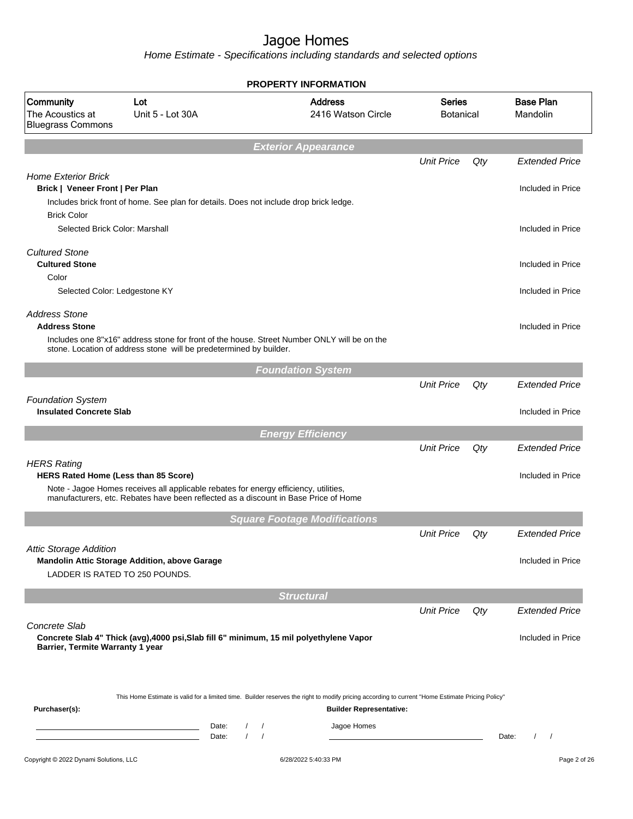|                                                                 |                                                                                                                  |                                                    | <b>PROPERTY INFORMATION</b>                                                                                                                                                        |                                   |       |                                            |
|-----------------------------------------------------------------|------------------------------------------------------------------------------------------------------------------|----------------------------------------------------|------------------------------------------------------------------------------------------------------------------------------------------------------------------------------------|-----------------------------------|-------|--------------------------------------------|
| Community<br>The Acoustics at<br><b>Bluegrass Commons</b>       | Lot<br>Unit 5 - Lot 30A                                                                                          |                                                    | <b>Address</b><br>2416 Watson Circle                                                                                                                                               | <b>Series</b><br><b>Botanical</b> |       | <b>Base Plan</b><br>Mandolin               |
|                                                                 |                                                                                                                  |                                                    | <b>Exterior Appearance</b>                                                                                                                                                         |                                   |       |                                            |
| <b>Home Exterior Brick</b><br>Brick   Veneer Front   Per Plan   |                                                                                                                  |                                                    |                                                                                                                                                                                    | <b>Unit Price</b>                 | Qty   | <b>Extended Price</b><br>Included in Price |
| <b>Brick Color</b>                                              | Includes brick front of home. See plan for details. Does not include drop brick ledge.                           |                                                    |                                                                                                                                                                                    |                                   |       |                                            |
| Selected Brick Color: Marshall                                  |                                                                                                                  |                                                    |                                                                                                                                                                                    |                                   |       | Included in Price                          |
| <b>Cultured Stone</b><br><b>Cultured Stone</b><br>Color         |                                                                                                                  |                                                    |                                                                                                                                                                                    |                                   |       | Included in Price                          |
| Selected Color: Ledgestone KY                                   |                                                                                                                  |                                                    |                                                                                                                                                                                    |                                   |       | Included in Price                          |
| <b>Address Stone</b><br><b>Address Stone</b>                    | stone. Location of address stone will be predetermined by builder.                                               |                                                    | Includes one 8"x16" address stone for front of the house. Street Number ONLY will be on the                                                                                        |                                   |       | Included in Price                          |
|                                                                 |                                                                                                                  |                                                    | <b>Foundation System</b>                                                                                                                                                           |                                   |       |                                            |
|                                                                 |                                                                                                                  |                                                    |                                                                                                                                                                                    | <b>Unit Price</b>                 | Qty   | <b>Extended Price</b>                      |
| <b>Foundation System</b><br><b>Insulated Concrete Slab</b>      |                                                                                                                  |                                                    |                                                                                                                                                                                    |                                   |       | Included in Price                          |
|                                                                 |                                                                                                                  |                                                    | <b>Energy Efficiency</b>                                                                                                                                                           |                                   |       |                                            |
| <b>HERS Rating</b>                                              |                                                                                                                  |                                                    |                                                                                                                                                                                    | <b>Unit Price</b>                 | Qty   | <b>Extended Price</b>                      |
| HERS Rated Home (Less than 85 Score)                            | Note - Jagoe Homes receives all applicable rebates for energy efficiency, utilities,                             |                                                    | manufacturers, etc. Rebates have been reflected as a discount in Base Price of Home                                                                                                |                                   |       | Included in Price                          |
|                                                                 |                                                                                                                  |                                                    | <b>Square Footage Modifications</b>                                                                                                                                                |                                   |       |                                            |
|                                                                 |                                                                                                                  |                                                    |                                                                                                                                                                                    | <b>Unit Price</b>                 | Qty   | <b>Extended Price</b>                      |
| <b>Attic Storage Addition</b><br>LADDER IS RATED TO 250 POUNDS. | Mandolin Attic Storage Addition, above Garage                                                                    |                                                    |                                                                                                                                                                                    |                                   |       | Included in Price                          |
|                                                                 |                                                                                                                  |                                                    | <b>Structural</b>                                                                                                                                                                  |                                   |       |                                            |
| Concrete Slab                                                   |                                                                                                                  |                                                    |                                                                                                                                                                                    | <b>Unit Price</b>                 | Qty   | <b>Extended Price</b>                      |
| Barrier, Termite Warranty 1 year                                |                                                                                                                  |                                                    | Concrete Slab 4" Thick (avg), 4000 psi, Slab fill 6" minimum, 15 mil polyethylene Vapor                                                                                            |                                   |       | Included in Price                          |
|                                                                 |                                                                                                                  |                                                    |                                                                                                                                                                                    |                                   |       |                                            |
| Purchaser(s):                                                   |                                                                                                                  |                                                    | This Home Estimate is valid for a limited time. Builder reserves the right to modify pricing according to current "Home Estimate Pricing Policy"<br><b>Builder Representative:</b> |                                   |       |                                            |
|                                                                 | <u> 1989 - Johann Barn, mars ann an t-Amhair ann an t-A</u><br><u> 1989 - Johann Barn, mars et al. (b. 1989)</u> | Date:<br>$\prime$<br>$\prime$<br>Date:<br>$\prime$ | Jagoe Homes                                                                                                                                                                        |                                   | Date: |                                            |
| Copyright © 2022 Dynami Solutions, LLC                          |                                                                                                                  |                                                    | 6/28/2022 5:40:33 PM                                                                                                                                                               |                                   |       | Page 2 of 26                               |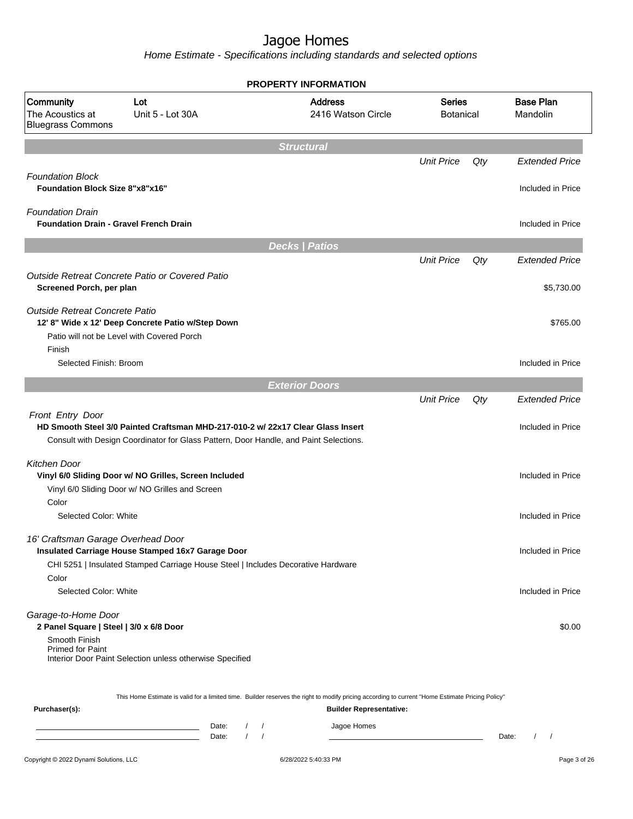Home Estimate - Specifications including standards and selected options

|                                                                                 | <b>PROPERTY INFORMATION</b>                                                                                                                                              |                                                                                                                                                  |                                   |     |                              |  |  |
|---------------------------------------------------------------------------------|--------------------------------------------------------------------------------------------------------------------------------------------------------------------------|--------------------------------------------------------------------------------------------------------------------------------------------------|-----------------------------------|-----|------------------------------|--|--|
| Community<br>The Acoustics at<br><b>Bluegrass Commons</b>                       | Lot<br>Unit 5 - Lot 30A                                                                                                                                                  | <b>Address</b><br>2416 Watson Circle                                                                                                             | <b>Series</b><br><b>Botanical</b> |     | <b>Base Plan</b><br>Mandolin |  |  |
|                                                                                 |                                                                                                                                                                          | <b>Structural</b>                                                                                                                                |                                   |     |                              |  |  |
|                                                                                 |                                                                                                                                                                          |                                                                                                                                                  | <b>Unit Price</b>                 | Qty | <b>Extended Price</b>        |  |  |
| <b>Foundation Block</b><br><b>Foundation Block Size 8"x8"x16"</b>               |                                                                                                                                                                          |                                                                                                                                                  |                                   |     | Included in Price            |  |  |
| <b>Foundation Drain</b><br><b>Foundation Drain - Gravel French Drain</b>        |                                                                                                                                                                          |                                                                                                                                                  |                                   |     | Included in Price            |  |  |
|                                                                                 |                                                                                                                                                                          | <b>Decks   Patios</b>                                                                                                                            |                                   |     |                              |  |  |
|                                                                                 |                                                                                                                                                                          |                                                                                                                                                  | <b>Unit Price</b>                 | Qty | <b>Extended Price</b>        |  |  |
| Screened Porch, per plan                                                        | Outside Retreat Concrete Patio or Covered Patio                                                                                                                          |                                                                                                                                                  |                                   |     | \$5,730.00                   |  |  |
| Outside Retreat Concrete Patio                                                  | 12' 8" Wide x 12' Deep Concrete Patio w/Step Down<br>Patio will not be Level with Covered Porch                                                                          |                                                                                                                                                  |                                   |     | \$765.00                     |  |  |
| Finish                                                                          |                                                                                                                                                                          |                                                                                                                                                  |                                   |     |                              |  |  |
| Selected Finish: Broom                                                          |                                                                                                                                                                          |                                                                                                                                                  |                                   |     | Included in Price            |  |  |
|                                                                                 |                                                                                                                                                                          | <b>Exterior Doors</b>                                                                                                                            |                                   |     |                              |  |  |
|                                                                                 |                                                                                                                                                                          |                                                                                                                                                  | <b>Unit Price</b>                 | Qty | <b>Extended Price</b>        |  |  |
| Front Entry Door                                                                | HD Smooth Steel 3/0 Painted Craftsman MHD-217-010-2 w/ 22x17 Clear Glass Insert<br>Consult with Design Coordinator for Glass Pattern, Door Handle, and Paint Selections. |                                                                                                                                                  |                                   |     | Included in Price            |  |  |
| Kitchen Door                                                                    | Vinyl 6/0 Sliding Door w/ NO Grilles, Screen Included<br>Vinyl 6/0 Sliding Door w/ NO Grilles and Screen                                                                 |                                                                                                                                                  |                                   |     | Included in Price            |  |  |
| Color                                                                           |                                                                                                                                                                          |                                                                                                                                                  |                                   |     |                              |  |  |
| Selected Color: White                                                           |                                                                                                                                                                          |                                                                                                                                                  |                                   |     | Included in Price            |  |  |
| 16' Craftsman Garage Overhead Door                                              | Insulated Carriage House Stamped 16x7 Garage Door<br>CHI 5251   Insulated Stamped Carriage House Steel   Includes Decorative Hardware                                    |                                                                                                                                                  |                                   |     | Included in Price            |  |  |
| Color<br>Selected Color: White                                                  |                                                                                                                                                                          |                                                                                                                                                  |                                   |     | Included in Price            |  |  |
| Garage-to-Home Door<br>2 Panel Square   Steel   3/0 x 6/8 Door<br>Smooth Finish |                                                                                                                                                                          |                                                                                                                                                  |                                   |     | \$0.00                       |  |  |
| <b>Primed for Paint</b>                                                         | Interior Door Paint Selection unless otherwise Specified                                                                                                                 |                                                                                                                                                  |                                   |     |                              |  |  |
|                                                                                 |                                                                                                                                                                          | This Home Estimate is valid for a limited time. Builder reserves the right to modify pricing according to current "Home Estimate Pricing Policy" |                                   |     |                              |  |  |
| Purchaser(s):                                                                   |                                                                                                                                                                          | <b>Builder Representative:</b>                                                                                                                   |                                   |     |                              |  |  |
|                                                                                 | Date:<br>Date:                                                                                                                                                           | Jagoe Homes                                                                                                                                      |                                   |     | Date:                        |  |  |

Copyright © 2022 Dynami Solutions, LLC <br>
G/28/2022 5:40:33 PM enterprise to the CO28/2022 5:40:33 PM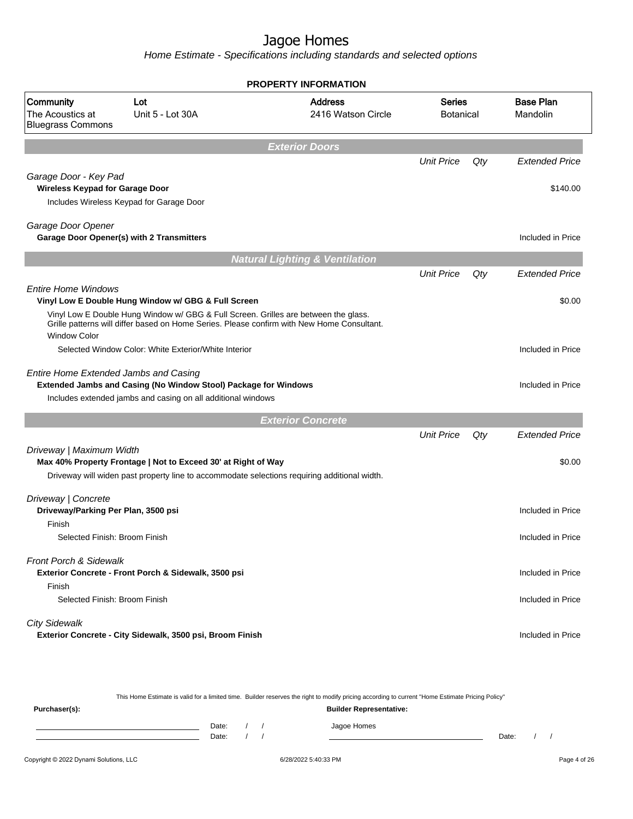| <b>PROPERTY INFORMATION</b>                                                                            |                                                                                                                                 |                                                                                                                                                                                   |                                   |     |                              |  |
|--------------------------------------------------------------------------------------------------------|---------------------------------------------------------------------------------------------------------------------------------|-----------------------------------------------------------------------------------------------------------------------------------------------------------------------------------|-----------------------------------|-----|------------------------------|--|
| Community<br>Lot<br><b>Address</b><br>The Acoustics at<br>Unit 5 - Lot 30A<br><b>Bluegrass Commons</b> |                                                                                                                                 | 2416 Watson Circle                                                                                                                                                                | <b>Series</b><br><b>Botanical</b> |     | <b>Base Plan</b><br>Mandolin |  |
|                                                                                                        |                                                                                                                                 | <b>Exterior Doors</b>                                                                                                                                                             |                                   |     |                              |  |
|                                                                                                        |                                                                                                                                 |                                                                                                                                                                                   | <b>Unit Price</b>                 | Qty | <b>Extended Price</b>        |  |
| Garage Door - Key Pad<br><b>Wireless Keypad for Garage Door</b>                                        | Includes Wireless Keypad for Garage Door                                                                                        |                                                                                                                                                                                   |                                   |     | \$140.00                     |  |
| Garage Door Opener<br>Garage Door Opener(s) with 2 Transmitters                                        |                                                                                                                                 |                                                                                                                                                                                   |                                   |     | Included in Price            |  |
|                                                                                                        |                                                                                                                                 | <b>Natural Lighting &amp; Ventilation</b>                                                                                                                                         |                                   |     |                              |  |
|                                                                                                        |                                                                                                                                 |                                                                                                                                                                                   | <b>Unit Price</b>                 | Qty | <b>Extended Price</b>        |  |
| <b>Entire Home Windows</b>                                                                             | Vinyl Low E Double Hung Window w/ GBG & Full Screen                                                                             | Vinyl Low E Double Hung Window w/ GBG & Full Screen. Grilles are between the glass.<br>Grille patterns will differ based on Home Series. Please confirm with New Home Consultant. |                                   |     | \$0.00                       |  |
| <b>Window Color</b>                                                                                    | Selected Window Color: White Exterior/White Interior                                                                            |                                                                                                                                                                                   |                                   |     | Included in Price            |  |
| <b>Entire Home Extended Jambs and Casing</b>                                                           | Extended Jambs and Casing (No Window Stool) Package for Windows<br>Includes extended jambs and casing on all additional windows |                                                                                                                                                                                   |                                   |     | Included in Price            |  |
|                                                                                                        |                                                                                                                                 | <b>Exterior Concrete</b>                                                                                                                                                          |                                   |     |                              |  |
|                                                                                                        |                                                                                                                                 |                                                                                                                                                                                   | <b>Unit Price</b>                 | Qty | <b>Extended Price</b>        |  |
| Driveway   Maximum Width                                                                               | Max 40% Property Frontage   Not to Exceed 30' at Right of Way                                                                   | Driveway will widen past property line to accommodate selections requiring additional width.                                                                                      |                                   |     | \$0.00                       |  |
| Driveway   Concrete<br>Driveway/Parking Per Plan, 3500 psi                                             |                                                                                                                                 |                                                                                                                                                                                   |                                   |     | Included in Price            |  |
| Finish<br>Selected Finish: Broom Finish                                                                |                                                                                                                                 |                                                                                                                                                                                   |                                   |     | Included in Price            |  |
| <b>Front Porch &amp; Sidewalk</b><br>Finish                                                            | Exterior Concrete - Front Porch & Sidewalk, 3500 psi                                                                            |                                                                                                                                                                                   |                                   |     | Included in Price            |  |
| Selected Finish: Broom Finish                                                                          |                                                                                                                                 |                                                                                                                                                                                   |                                   |     | Included in Price            |  |
| <b>City Sidewalk</b>                                                                                   | Exterior Concrete - City Sidewalk, 3500 psi, Broom Finish                                                                       |                                                                                                                                                                                   |                                   |     | Included in Price            |  |

|                                                                |       |  |  | This Home Estimate is valid for a limited time. Builder reserves the right to modify pricing according to current "Home Estimate Pricing Policy" |       |  |  |
|----------------------------------------------------------------|-------|--|--|--------------------------------------------------------------------------------------------------------------------------------------------------|-------|--|--|
| Purchaser(s):                                                  |       |  |  | <b>Builder Representative:</b>                                                                                                                   |       |  |  |
|                                                                | Date: |  |  | Jagoe Homes                                                                                                                                      |       |  |  |
|                                                                | Date: |  |  |                                                                                                                                                  | Date: |  |  |
|                                                                |       |  |  |                                                                                                                                                  |       |  |  |
| Copyright © 2022 Dynami Solutions, LLC<br>6/28/2022 5:40:33 PM |       |  |  | Page 4 of 26                                                                                                                                     |       |  |  |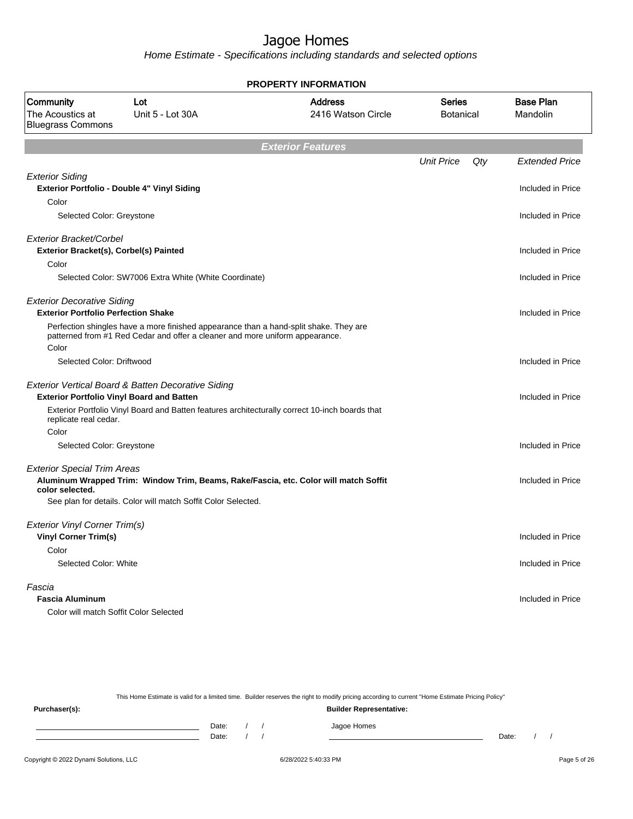Home Estimate - Specifications including standards and selected options

| PROPERTY INFORMATION                                                                 |                                                                                                                                                                       |                                      |                                   |     |                              |  |  |  |  |
|--------------------------------------------------------------------------------------|-----------------------------------------------------------------------------------------------------------------------------------------------------------------------|--------------------------------------|-----------------------------------|-----|------------------------------|--|--|--|--|
| Community<br>Lot<br>The Acoustics at<br>Unit 5 - Lot 30A<br><b>Bluegrass Commons</b> |                                                                                                                                                                       | <b>Address</b><br>2416 Watson Circle | <b>Series</b><br><b>Botanical</b> |     | <b>Base Plan</b><br>Mandolin |  |  |  |  |
| <b>Exterior Features</b>                                                             |                                                                                                                                                                       |                                      |                                   |     |                              |  |  |  |  |
|                                                                                      |                                                                                                                                                                       |                                      | <b>Unit Price</b>                 | Qty | <b>Extended Price</b>        |  |  |  |  |
| <b>Exterior Siding</b>                                                               | Exterior Portfolio - Double 4" Vinyl Siding                                                                                                                           |                                      |                                   |     | Included in Price            |  |  |  |  |
| Color                                                                                |                                                                                                                                                                       |                                      |                                   |     |                              |  |  |  |  |
| Selected Color: Greystone                                                            |                                                                                                                                                                       |                                      |                                   |     | Included in Price            |  |  |  |  |
| Exterior Bracket/Corbel<br>Exterior Bracket(s), Corbel(s) Painted                    |                                                                                                                                                                       |                                      |                                   |     | Included in Price            |  |  |  |  |
| Color                                                                                |                                                                                                                                                                       |                                      |                                   |     |                              |  |  |  |  |
|                                                                                      | Selected Color: SW7006 Extra White (White Coordinate)                                                                                                                 |                                      |                                   |     | Included in Price            |  |  |  |  |
| <b>Exterior Decorative Siding</b><br><b>Exterior Portfolio Perfection Shake</b>      |                                                                                                                                                                       |                                      |                                   |     | Included in Price            |  |  |  |  |
| Color                                                                                | Perfection shingles have a more finished appearance than a hand-split shake. They are<br>patterned from #1 Red Cedar and offer a cleaner and more uniform appearance. |                                      |                                   |     |                              |  |  |  |  |
| Selected Color: Driftwood                                                            |                                                                                                                                                                       |                                      |                                   |     | Included in Price            |  |  |  |  |
|                                                                                      |                                                                                                                                                                       |                                      |                                   |     |                              |  |  |  |  |
|                                                                                      | Exterior Vertical Board & Batten Decorative Siding                                                                                                                    |                                      |                                   |     |                              |  |  |  |  |
|                                                                                      | <b>Exterior Portfolio Vinyl Board and Batten</b>                                                                                                                      |                                      |                                   |     | Included in Price            |  |  |  |  |
| replicate real cedar.                                                                | Exterior Portfolio Vinyl Board and Batten features architecturally correct 10-inch boards that                                                                        |                                      |                                   |     |                              |  |  |  |  |
| Color                                                                                |                                                                                                                                                                       |                                      |                                   |     |                              |  |  |  |  |
| Selected Color: Greystone                                                            |                                                                                                                                                                       |                                      |                                   |     | Included in Price            |  |  |  |  |
| <b>Exterior Special Trim Areas</b><br>color selected.                                | Aluminum Wrapped Trim: Window Trim, Beams, Rake/Fascia, etc. Color will match Soffit                                                                                  |                                      |                                   |     | Included in Price            |  |  |  |  |
|                                                                                      | See plan for details. Color will match Soffit Color Selected.                                                                                                         |                                      |                                   |     |                              |  |  |  |  |
| Exterior Vinyl Corner Trim(s)                                                        |                                                                                                                                                                       |                                      |                                   |     |                              |  |  |  |  |
| <b>Vinyl Corner Trim(s)</b>                                                          |                                                                                                                                                                       |                                      |                                   |     | Included in Price            |  |  |  |  |
| Color                                                                                |                                                                                                                                                                       |                                      |                                   |     |                              |  |  |  |  |
| Selected Color: White                                                                |                                                                                                                                                                       |                                      |                                   |     | Included in Price            |  |  |  |  |
| Fascia                                                                               |                                                                                                                                                                       |                                      |                                   |     |                              |  |  |  |  |
| <b>Fascia Aluminum</b>                                                               |                                                                                                                                                                       |                                      |                                   |     | Included in Price            |  |  |  |  |
|                                                                                      | Color will match Soffit Color Selected                                                                                                                                |                                      |                                   |     |                              |  |  |  |  |

This Home Estimate is valid for a limited time. Builder reserves the right to modify pricing according to current "Home Estimate Pricing Policy"

**Purchaser(s): Builder Representative:** Date: / / Jagoe Homes<br>Date: / / Jagoe Homes Date: / / Date: / /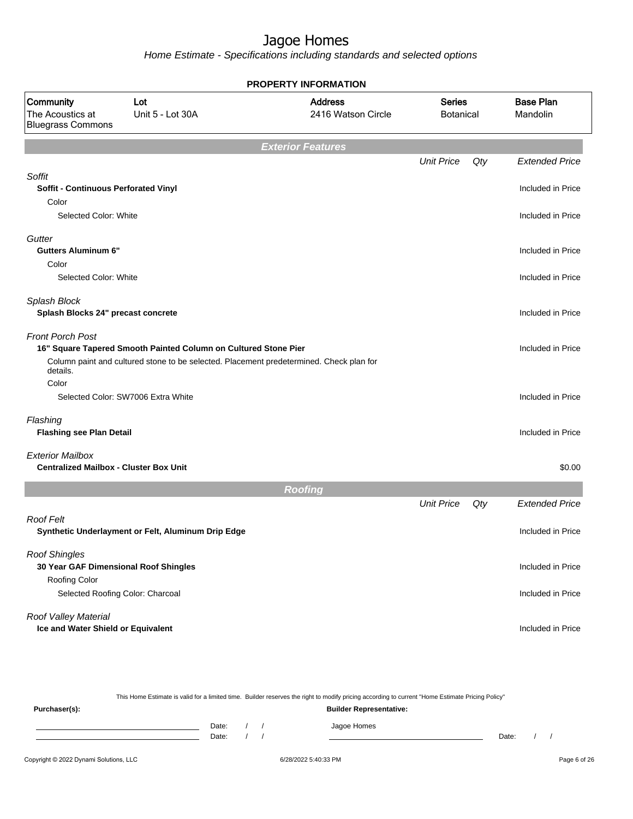Home Estimate - Specifications including standards and selected options

|                                                                          |                                                                 | <b>PROPERTY INFORMATION</b>                                                             |                                   |     |                              |
|--------------------------------------------------------------------------|-----------------------------------------------------------------|-----------------------------------------------------------------------------------------|-----------------------------------|-----|------------------------------|
| Community<br>The Acoustics at<br><b>Bluegrass Commons</b>                | Lot<br>Unit 5 - Lot 30A                                         | <b>Address</b><br>2416 Watson Circle                                                    | <b>Series</b><br><b>Botanical</b> |     | <b>Base Plan</b><br>Mandolin |
|                                                                          |                                                                 | <b>Exterior Features</b>                                                                |                                   |     |                              |
|                                                                          |                                                                 |                                                                                         | <b>Unit Price</b>                 | Qty | <b>Extended Price</b>        |
| Soffit<br><b>Soffit - Continuous Perforated Vinyl</b><br>Color           |                                                                 |                                                                                         |                                   |     | Included in Price            |
| Selected Color: White                                                    |                                                                 |                                                                                         |                                   |     | Included in Price            |
|                                                                          |                                                                 |                                                                                         |                                   |     |                              |
| Gutter<br><b>Gutters Aluminum 6"</b><br>Color                            |                                                                 |                                                                                         |                                   |     | Included in Price            |
| Selected Color: White                                                    |                                                                 |                                                                                         |                                   |     | Included in Price            |
| Splash Block<br>Splash Blocks 24" precast concrete                       |                                                                 |                                                                                         |                                   |     | Included in Price            |
| <b>Front Porch Post</b><br>details.                                      | 16" Square Tapered Smooth Painted Column on Cultured Stone Pier | Column paint and cultured stone to be selected. Placement predetermined. Check plan for |                                   |     | Included in Price            |
| Color                                                                    |                                                                 |                                                                                         |                                   |     |                              |
| Selected Color: SW7006 Extra White                                       |                                                                 |                                                                                         |                                   |     | Included in Price            |
| Flashing<br><b>Flashing see Plan Detail</b>                              |                                                                 |                                                                                         |                                   |     | Included in Price            |
| <b>Exterior Mailbox</b><br><b>Centralized Mailbox - Cluster Box Unit</b> |                                                                 |                                                                                         |                                   |     | \$0.00                       |
|                                                                          |                                                                 | <b>Roofing</b>                                                                          |                                   |     |                              |
|                                                                          |                                                                 |                                                                                         | <b>Unit Price</b>                 | Qty | <b>Extended Price</b>        |
| <b>Roof Felt</b>                                                         | Synthetic Underlayment or Felt, Aluminum Drip Edge              |                                                                                         |                                   |     | Included in Price            |
| <b>Roof Shingles</b><br>30 Year GAF Dimensional Roof Shingles            |                                                                 |                                                                                         |                                   |     | Included in Price            |
| Roofing Color<br>Selected Roofing Color: Charcoal                        |                                                                 |                                                                                         |                                   |     | Included in Price            |
| Roof Valley Material<br>Ice and Water Shield or Equivalent               |                                                                 |                                                                                         |                                   |     | Included in Price            |

This Home Estimate is valid for a limited time. Builder reserves the right to modify pricing according to current "Home Estimate Pricing Policy" **Purchaser(s): Builder Representative:** Date: / / Jagoe Homes<br>Date: / / Jagoe Homes Date: / / Date: / /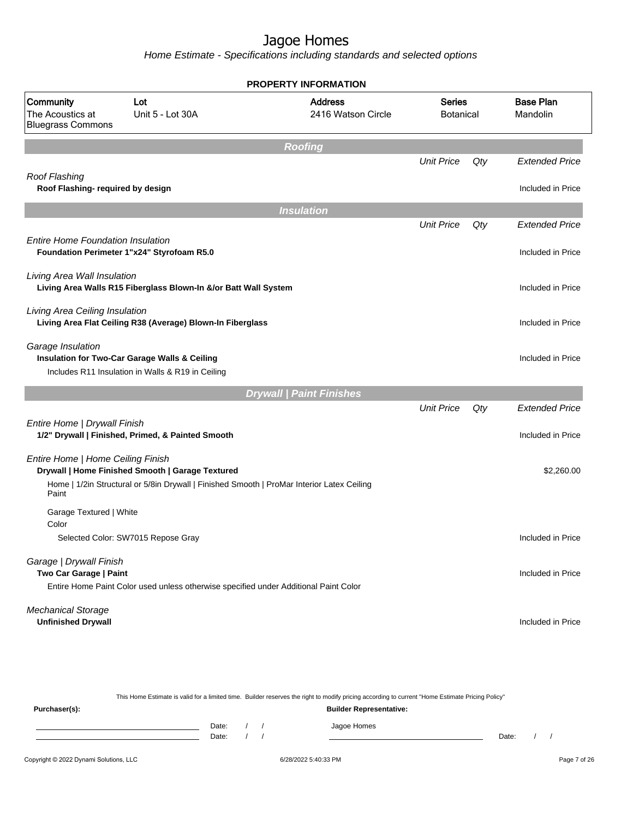Home Estimate - Specifications including standards and selected options

|                                                           |                                                                                                    | <b>PROPERTY INFORMATION</b>          |                                   |     |                              |
|-----------------------------------------------------------|----------------------------------------------------------------------------------------------------|--------------------------------------|-----------------------------------|-----|------------------------------|
| Community<br>The Acoustics at<br><b>Bluegrass Commons</b> | Lot<br>Unit 5 - Lot 30A                                                                            | <b>Address</b><br>2416 Watson Circle | <b>Series</b><br><b>Botanical</b> |     | <b>Base Plan</b><br>Mandolin |
|                                                           |                                                                                                    | <b>Roofing</b>                       |                                   |     |                              |
|                                                           |                                                                                                    |                                      | <b>Unit Price</b>                 | Qty | <b>Extended Price</b>        |
| Roof Flashing<br>Roof Flashing- required by design        |                                                                                                    |                                      |                                   |     | Included in Price            |
|                                                           |                                                                                                    | <b>Insulation</b>                    |                                   |     |                              |
|                                                           |                                                                                                    |                                      | <b>Unit Price</b>                 | Qty | <b>Extended Price</b>        |
| <b>Entire Home Foundation Insulation</b>                  | Foundation Perimeter 1"x24" Styrofoam R5.0                                                         |                                      |                                   |     | Included in Price            |
| Living Area Wall Insulation                               | Living Area Walls R15 Fiberglass Blown-In &/or Batt Wall System                                    |                                      |                                   |     | Included in Price            |
| Living Area Ceiling Insulation                            | Living Area Flat Ceiling R38 (Average) Blown-In Fiberglass                                         |                                      |                                   |     | Included in Price            |
| Garage Insulation                                         | Insulation for Two-Car Garage Walls & Ceiling<br>Includes R11 Insulation in Walls & R19 in Ceiling |                                      |                                   |     | Included in Price            |
|                                                           |                                                                                                    | <b>Drywall   Paint Finishes</b>      |                                   |     |                              |
|                                                           |                                                                                                    |                                      | <b>Unit Price</b>                 | Qty | <b>Extended Price</b>        |
| Entire Home   Drywall Finish                              | 1/2" Drywall   Finished, Primed, & Painted Smooth                                                  |                                      |                                   |     | Included in Price            |
| Entire Home   Home Ceiling Finish                         | Drywall   Home Finished Smooth   Garage Textured                                                   |                                      |                                   |     | \$2,260.00                   |
| Paint                                                     | Home   1/2in Structural or 5/8in Drywall   Finished Smooth   ProMar Interior Latex Ceiling         |                                      |                                   |     |                              |
| Garage Textured   White<br>Color                          |                                                                                                    |                                      |                                   |     |                              |
|                                                           | Selected Color: SW7015 Repose Gray                                                                 |                                      |                                   |     | Included in Price            |
| Garage   Drywall Finish<br>Two Car Garage   Paint         |                                                                                                    |                                      |                                   |     | Included in Price            |
|                                                           | Entire Home Paint Color used unless otherwise specified under Additional Paint Color               |                                      |                                   |     |                              |
| <b>Mechanical Storage</b><br><b>Unfinished Drywall</b>    |                                                                                                    |                                      |                                   |     | Included in Price            |

This Home Estimate is valid for a limited time. Builder reserves the right to modify pricing according to current "Home Estimate Pricing Policy" **Purchaser(s): Builder Representative:**

| Date: |  | Jagoe Homes |       |  |
|-------|--|-------------|-------|--|
| Date: |  |             | Date: |  |
|       |  |             |       |  |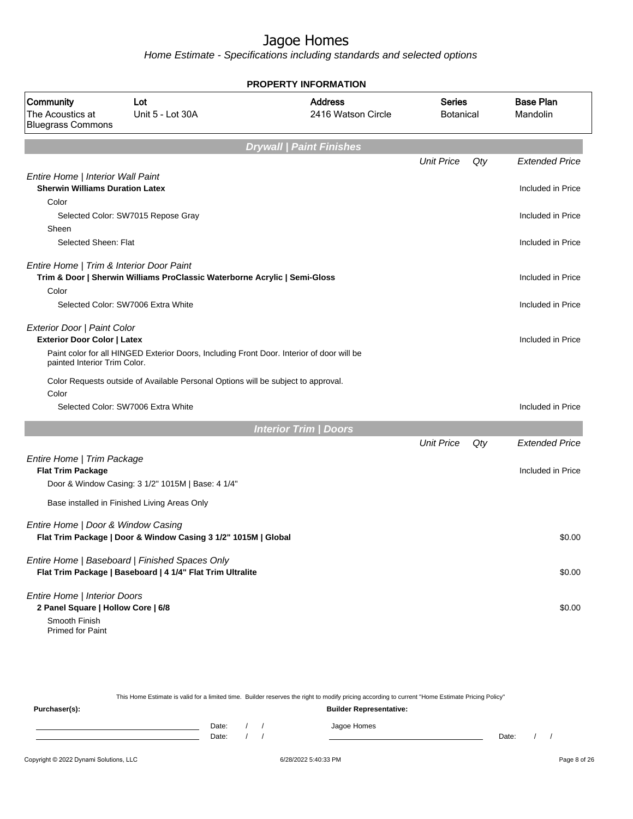Home Estimate - Specifications including standards and selected options

|                                                                                             | PROPERTY INFORMATION                                                                      |                                                       |                   |                  |                              |  |  |  |
|---------------------------------------------------------------------------------------------|-------------------------------------------------------------------------------------------|-------------------------------------------------------|-------------------|------------------|------------------------------|--|--|--|
| <b>Community</b><br>Lot<br>The Acoustics at<br>Unit 5 - Lot 30A<br><b>Bluegrass Commons</b> |                                                                                           | <b>Address</b><br><b>Series</b><br>2416 Watson Circle |                   | <b>Botanical</b> | <b>Base Plan</b><br>Mandolin |  |  |  |
|                                                                                             |                                                                                           | <b>Drywall   Paint Finishes</b>                       |                   |                  |                              |  |  |  |
|                                                                                             |                                                                                           |                                                       | <b>Unit Price</b> | Qty              | <b>Extended Price</b>        |  |  |  |
| Entire Home   Interior Wall Paint<br><b>Sherwin Williams Duration Latex</b>                 |                                                                                           |                                                       |                   |                  | Included in Price            |  |  |  |
| Color                                                                                       |                                                                                           |                                                       |                   |                  |                              |  |  |  |
|                                                                                             | Selected Color: SW7015 Repose Gray                                                        |                                                       |                   |                  | Included in Price            |  |  |  |
| Sheen                                                                                       |                                                                                           |                                                       |                   |                  |                              |  |  |  |
| Selected Sheen: Flat                                                                        |                                                                                           |                                                       |                   |                  | Included in Price            |  |  |  |
| Entire Home   Trim & Interior Door Paint                                                    |                                                                                           |                                                       |                   |                  |                              |  |  |  |
|                                                                                             | Trim & Door   Sherwin Williams ProClassic Waterborne Acrylic   Semi-Gloss                 |                                                       |                   |                  | Included in Price            |  |  |  |
| Color                                                                                       |                                                                                           |                                                       |                   |                  |                              |  |  |  |
|                                                                                             | Selected Color: SW7006 Extra White                                                        |                                                       |                   |                  | Included in Price            |  |  |  |
| Exterior Door   Paint Color                                                                 |                                                                                           |                                                       |                   |                  |                              |  |  |  |
| <b>Exterior Door Color   Latex</b>                                                          |                                                                                           |                                                       |                   |                  | Included in Price            |  |  |  |
| painted Interior Trim Color.                                                                | Paint color for all HINGED Exterior Doors, Including Front Door. Interior of door will be |                                                       |                   |                  |                              |  |  |  |
| Color                                                                                       | Color Requests outside of Available Personal Options will be subject to approval.         |                                                       |                   |                  |                              |  |  |  |
|                                                                                             | Selected Color: SW7006 Extra White                                                        |                                                       |                   |                  | Included in Price            |  |  |  |
|                                                                                             |                                                                                           | <b>Interior Trim / Doors</b>                          |                   |                  |                              |  |  |  |
|                                                                                             |                                                                                           |                                                       | <b>Unit Price</b> | Qty              | <b>Extended Price</b>        |  |  |  |
| Entire Home   Trim Package                                                                  |                                                                                           |                                                       |                   |                  |                              |  |  |  |
| <b>Flat Trim Package</b>                                                                    |                                                                                           |                                                       |                   |                  | Included in Price            |  |  |  |
|                                                                                             | Door & Window Casing: 3 1/2" 1015M   Base: 4 1/4"                                         |                                                       |                   |                  |                              |  |  |  |
|                                                                                             | Base installed in Finished Living Areas Only                                              |                                                       |                   |                  |                              |  |  |  |
| Entire Home   Door & Window Casing                                                          |                                                                                           |                                                       |                   |                  |                              |  |  |  |
|                                                                                             | Flat Trim Package   Door & Window Casing 3 1/2" 1015M   Global                            |                                                       |                   |                  | \$0.00                       |  |  |  |
|                                                                                             | Entire Home   Baseboard   Finished Spaces Only                                            |                                                       |                   |                  |                              |  |  |  |
|                                                                                             | Flat Trim Package   Baseboard   4 1/4" Flat Trim Ultralite                                |                                                       |                   |                  | \$0.00                       |  |  |  |
| Entire Home   Interior Doors                                                                |                                                                                           |                                                       |                   |                  |                              |  |  |  |
| 2 Panel Square   Hollow Core   6/8                                                          |                                                                                           |                                                       |                   |                  | \$0.00                       |  |  |  |
| Smooth Finish                                                                               |                                                                                           |                                                       |                   |                  |                              |  |  |  |
| <b>Primed for Paint</b>                                                                     |                                                                                           |                                                       |                   |                  |                              |  |  |  |

This Home Estimate is valid for a limited time. Builder reserves the right to modify pricing according to current "Home Estimate Pricing Policy"

| Purchaser(s): |                |  | <b>Builder Representative:</b> |       |  |
|---------------|----------------|--|--------------------------------|-------|--|
|               | Date:<br>Date: |  | Jagoe Homes                    | Date: |  |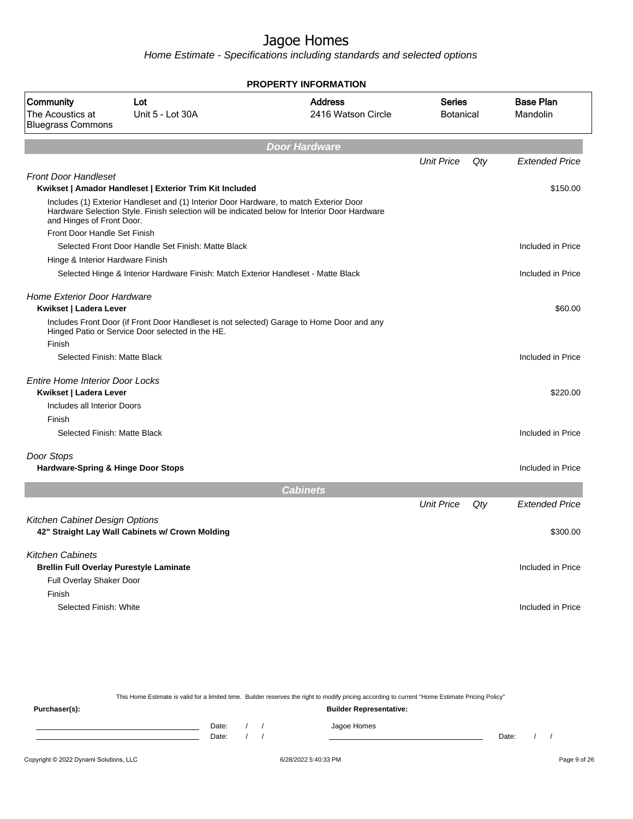Home Estimate - Specifications including standards and selected options

|                                                              |                                                                                        | <b>PROPERTY INFORMATION</b>                                                                   |                                   |     |                              |
|--------------------------------------------------------------|----------------------------------------------------------------------------------------|-----------------------------------------------------------------------------------------------|-----------------------------------|-----|------------------------------|
| Community<br>The Acoustics at<br><b>Bluegrass Commons</b>    | Lot<br>Unit 5 - Lot 30A                                                                | <b>Address</b><br>2416 Watson Circle                                                          | <b>Series</b><br><b>Botanical</b> |     | <b>Base Plan</b><br>Mandolin |
|                                                              |                                                                                        | <b>Door Hardware</b>                                                                          |                                   |     |                              |
|                                                              |                                                                                        |                                                                                               | <b>Unit Price</b>                 | Qty | <b>Extended Price</b>        |
| <b>Front Door Handleset</b>                                  | Kwikset   Amador Handleset   Exterior Trim Kit Included                                |                                                                                               |                                   |     | \$150.00                     |
| and Hinges of Front Door.                                    | Includes (1) Exterior Handleset and (1) Interior Door Hardware, to match Exterior Door | Hardware Selection Style. Finish selection will be indicated below for Interior Door Hardware |                                   |     |                              |
| Front Door Handle Set Finish                                 |                                                                                        |                                                                                               |                                   |     |                              |
|                                                              | Selected Front Door Handle Set Finish: Matte Black                                     |                                                                                               |                                   |     | Included in Price            |
| Hinge & Interior Hardware Finish                             |                                                                                        |                                                                                               |                                   |     |                              |
|                                                              | Selected Hinge & Interior Hardware Finish: Match Exterior Handleset - Matte Black      |                                                                                               |                                   |     | Included in Price            |
| <b>Home Exterior Door Hardware</b><br>Kwikset   Ladera Lever |                                                                                        |                                                                                               |                                   |     | \$60.00                      |
| Finish                                                       | Hinged Patio or Service Door selected in the HE.                                       | Includes Front Door (if Front Door Handleset is not selected) Garage to Home Door and any     |                                   |     |                              |
| Selected Finish: Matte Black                                 |                                                                                        |                                                                                               |                                   |     | Included in Price            |
|                                                              |                                                                                        |                                                                                               |                                   |     |                              |
| <b>Entire Home Interior Door Locks</b>                       |                                                                                        |                                                                                               |                                   |     |                              |
| Kwikset   Ladera Lever                                       |                                                                                        |                                                                                               |                                   |     | \$220.00                     |
| Includes all Interior Doors                                  |                                                                                        |                                                                                               |                                   |     |                              |
| Finish                                                       |                                                                                        |                                                                                               |                                   |     |                              |
| Selected Finish: Matte Black                                 |                                                                                        |                                                                                               |                                   |     | Included in Price            |
| Door Stops                                                   |                                                                                        |                                                                                               |                                   |     |                              |
| Hardware-Spring & Hinge Door Stops                           |                                                                                        |                                                                                               |                                   |     | Included in Price            |
|                                                              |                                                                                        | <b>Cabinets</b>                                                                               |                                   |     |                              |
|                                                              |                                                                                        |                                                                                               | <b>Unit Price</b>                 | Qty | <b>Extended Price</b>        |
| Kitchen Cabinet Design Options                               |                                                                                        |                                                                                               |                                   |     |                              |
|                                                              | 42" Straight Lay Wall Cabinets w/ Crown Molding                                        |                                                                                               |                                   |     | \$300.00                     |
| <b>Kitchen Cabinets</b>                                      |                                                                                        |                                                                                               |                                   |     |                              |
|                                                              | <b>Brellin Full Overlay Purestyle Laminate</b>                                         |                                                                                               |                                   |     | Included in Price            |
| Full Overlay Shaker Door                                     |                                                                                        |                                                                                               |                                   |     |                              |
| Finish                                                       |                                                                                        |                                                                                               |                                   |     |                              |
| Selected Finish: White                                       |                                                                                        |                                                                                               |                                   |     | Included in Price            |
|                                                              |                                                                                        |                                                                                               |                                   |     |                              |
|                                                              |                                                                                        |                                                                                               |                                   |     |                              |

This Home Estimate is valid for a limited time. Builder reserves the right to modify pricing according to current "Home Estimate Pricing Policy" **Purchaser(s): Builder Representative:** Date: / / Jagoe Homes<br>Date: / / Jagoe Homes Date: / / **Date: / / 2006** Date: / / / Date: / / /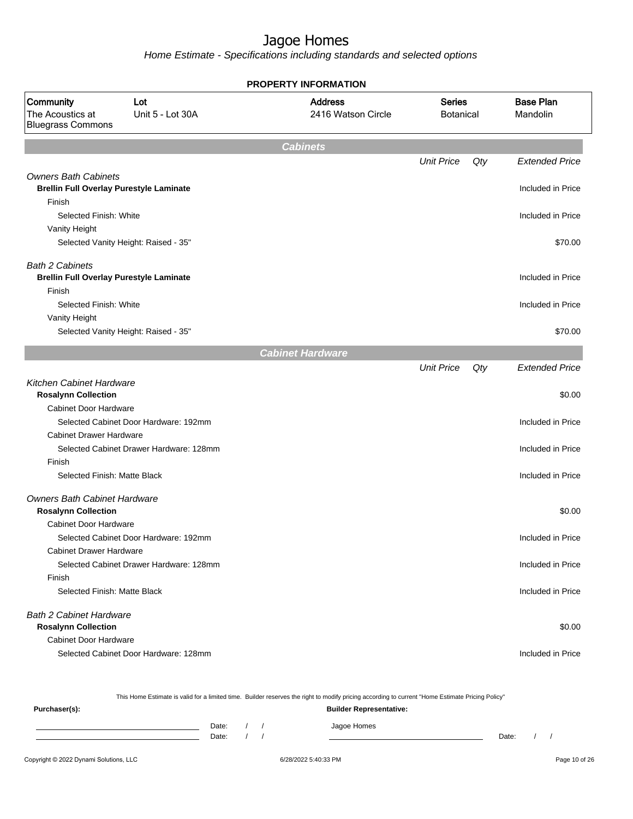Home Estimate - Specifications including standards and selected options

| <b>PROPERTY INFORMATION</b>                                                   |                                         |                                      |                                   |     |                              |  |
|-------------------------------------------------------------------------------|-----------------------------------------|--------------------------------------|-----------------------------------|-----|------------------------------|--|
| Community<br>The Acoustics at<br><b>Bluegrass Commons</b>                     | Lot<br>Unit 5 - Lot 30A                 | <b>Address</b><br>2416 Watson Circle | <b>Series</b><br><b>Botanical</b> |     | <b>Base Plan</b><br>Mandolin |  |
|                                                                               |                                         | <b>Cabinets</b>                      |                                   |     |                              |  |
|                                                                               |                                         |                                      | <b>Unit Price</b>                 | Qty | <b>Extended Price</b>        |  |
| <b>Owners Bath Cabinets</b><br><b>Brellin Full Overlay Purestyle Laminate</b> |                                         |                                      |                                   |     | Included in Price            |  |
| Finish<br>Selected Finish: White                                              |                                         |                                      |                                   |     | Included in Price            |  |
| Vanity Height                                                                 |                                         |                                      |                                   |     |                              |  |
|                                                                               | Selected Vanity Height: Raised - 35"    |                                      |                                   |     | \$70.00                      |  |
| <b>Bath 2 Cabinets</b><br><b>Brellin Full Overlay Purestyle Laminate</b>      |                                         |                                      |                                   |     | Included in Price            |  |
| Finish<br>Selected Finish: White                                              |                                         |                                      |                                   |     | Included in Price            |  |
| Vanity Height                                                                 | Selected Vanity Height: Raised - 35"    |                                      |                                   |     | \$70.00                      |  |
|                                                                               |                                         | <b>Cabinet Hardware</b>              |                                   |     |                              |  |
|                                                                               |                                         |                                      | <b>Unit Price</b>                 | Qty | <b>Extended Price</b>        |  |
| <b>Kitchen Cabinet Hardware</b><br><b>Rosalynn Collection</b>                 |                                         |                                      |                                   |     | \$0.00                       |  |
| <b>Cabinet Door Hardware</b>                                                  |                                         |                                      |                                   |     |                              |  |
|                                                                               | Selected Cabinet Door Hardware: 192mm   |                                      |                                   |     | Included in Price            |  |
| <b>Cabinet Drawer Hardware</b>                                                | Selected Cabinet Drawer Hardware: 128mm |                                      |                                   |     | Included in Price            |  |
| Finish                                                                        |                                         |                                      |                                   |     |                              |  |
| Selected Finish: Matte Black                                                  |                                         |                                      |                                   |     | Included in Price            |  |
| <b>Owners Bath Cabinet Hardware</b><br><b>Rosalynn Collection</b>             |                                         |                                      |                                   |     | \$0.00                       |  |
| Cabinet Door Hardware                                                         | Selected Cabinet Door Hardware: 192mm   |                                      |                                   |     | Included in Price            |  |
| <b>Cabinet Drawer Hardware</b>                                                |                                         |                                      |                                   |     |                              |  |
| Finish                                                                        | Selected Cabinet Drawer Hardware: 128mm |                                      |                                   |     | Included in Price            |  |
| Selected Finish: Matte Black                                                  |                                         |                                      |                                   |     | Included in Price            |  |
| <b>Bath 2 Cabinet Hardware</b>                                                |                                         |                                      |                                   |     |                              |  |
| <b>Rosalynn Collection</b>                                                    |                                         |                                      |                                   |     | \$0.00                       |  |
| <b>Cabinet Door Hardware</b>                                                  |                                         |                                      |                                   |     |                              |  |
|                                                                               | Selected Cabinet Door Hardware: 128mm   |                                      |                                   |     | Included in Price            |  |

This Home Estimate is valid for a limited time. Builder reserves the right to modify pricing according to current "Home Estimate Pricing Policy"

| Purchaser(s): |                |  | <b>Builder Representative:</b> |       |  |
|---------------|----------------|--|--------------------------------|-------|--|
|               | Date:<br>Date: |  | Jagoe Homes                    | Date: |  |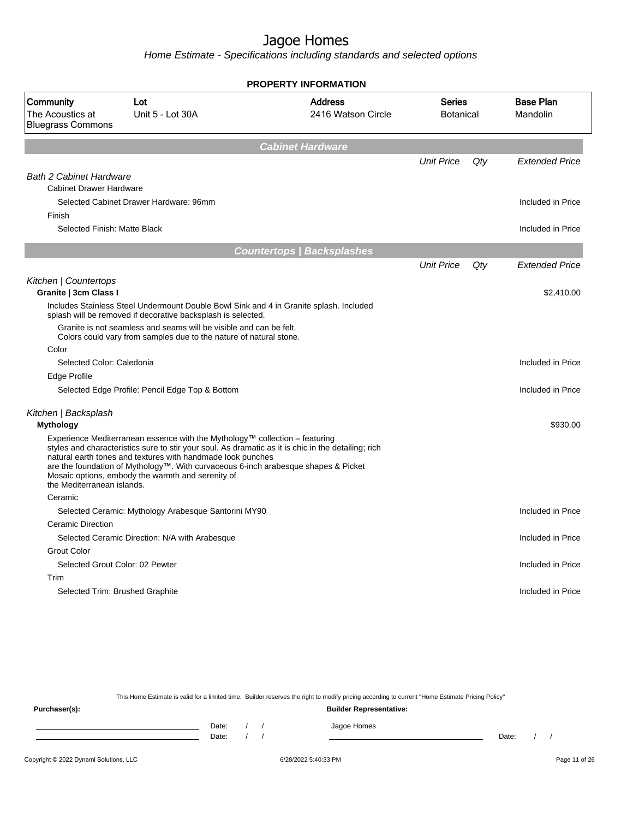Home Estimate - Specifications including standards and selected options

|                                                           |                                                                                                                                                                                                                                                                                       | <b>PROPERTY INFORMATION</b>                                                                         |                                   |     |                              |
|-----------------------------------------------------------|---------------------------------------------------------------------------------------------------------------------------------------------------------------------------------------------------------------------------------------------------------------------------------------|-----------------------------------------------------------------------------------------------------|-----------------------------------|-----|------------------------------|
| Community<br>The Acoustics at<br><b>Bluegrass Commons</b> | Lot<br>Unit 5 - Lot 30A                                                                                                                                                                                                                                                               | <b>Address</b><br>2416 Watson Circle                                                                | <b>Series</b><br><b>Botanical</b> |     | <b>Base Plan</b><br>Mandolin |
|                                                           |                                                                                                                                                                                                                                                                                       | <b>Cabinet Hardware</b>                                                                             |                                   |     |                              |
| <b>Bath 2 Cabinet Hardware</b>                            |                                                                                                                                                                                                                                                                                       |                                                                                                     | <b>Unit Price</b>                 | Qty | <b>Extended Price</b>        |
| <b>Cabinet Drawer Hardware</b>                            |                                                                                                                                                                                                                                                                                       |                                                                                                     |                                   |     |                              |
|                                                           | Selected Cabinet Drawer Hardware: 96mm                                                                                                                                                                                                                                                |                                                                                                     |                                   |     | Included in Price            |
| Finish                                                    |                                                                                                                                                                                                                                                                                       |                                                                                                     |                                   |     |                              |
| Selected Finish: Matte Black                              |                                                                                                                                                                                                                                                                                       |                                                                                                     |                                   |     | Included in Price            |
|                                                           |                                                                                                                                                                                                                                                                                       | <b>Countertops   Backsplashes</b>                                                                   |                                   |     |                              |
|                                                           |                                                                                                                                                                                                                                                                                       |                                                                                                     | <b>Unit Price</b>                 | Qty | <b>Extended Price</b>        |
| Kitchen   Countertops                                     |                                                                                                                                                                                                                                                                                       |                                                                                                     |                                   |     |                              |
| Granite   3cm Class I                                     |                                                                                                                                                                                                                                                                                       |                                                                                                     |                                   |     | \$2,410.00                   |
|                                                           | Includes Stainless Steel Undermount Double Bowl Sink and 4 in Granite splash. Included<br>splash will be removed if decorative backsplash is selected.                                                                                                                                |                                                                                                     |                                   |     |                              |
|                                                           | Granite is not seamless and seams will be visible and can be felt.<br>Colors could vary from samples due to the nature of natural stone.                                                                                                                                              |                                                                                                     |                                   |     |                              |
| Color                                                     |                                                                                                                                                                                                                                                                                       |                                                                                                     |                                   |     |                              |
| Selected Color: Caledonia                                 |                                                                                                                                                                                                                                                                                       |                                                                                                     |                                   |     | Included in Price            |
| Edge Profile                                              |                                                                                                                                                                                                                                                                                       |                                                                                                     |                                   |     |                              |
|                                                           | Selected Edge Profile: Pencil Edge Top & Bottom                                                                                                                                                                                                                                       |                                                                                                     |                                   |     | Included in Price            |
| Kitchen   Backsplash<br><b>Mythology</b>                  |                                                                                                                                                                                                                                                                                       |                                                                                                     |                                   |     | \$930.00                     |
| the Mediterranean islands.                                | Experience Mediterranean essence with the Mythology™ collection - featuring<br>natural earth tones and textures with handmade look punches<br>are the foundation of Mythology™. With curvaceous 6-inch arabesque shapes & Picket<br>Mosaic options, embody the warmth and serenity of | styles and characteristics sure to stir your soul. As dramatic as it is chic in the detailing; rich |                                   |     |                              |
| Ceramic                                                   |                                                                                                                                                                                                                                                                                       |                                                                                                     |                                   |     |                              |
|                                                           | Selected Ceramic: Mythology Arabesque Santorini MY90                                                                                                                                                                                                                                  |                                                                                                     |                                   |     | Included in Price            |
| Ceramic Direction                                         |                                                                                                                                                                                                                                                                                       |                                                                                                     |                                   |     |                              |
|                                                           | Selected Ceramic Direction: N/A with Arabesque                                                                                                                                                                                                                                        |                                                                                                     |                                   |     | Included in Price            |
| <b>Grout Color</b>                                        |                                                                                                                                                                                                                                                                                       |                                                                                                     |                                   |     |                              |
| Selected Grout Color: 02 Pewter                           |                                                                                                                                                                                                                                                                                       |                                                                                                     |                                   |     | Included in Price            |
| Trim                                                      |                                                                                                                                                                                                                                                                                       |                                                                                                     |                                   |     |                              |
| Selected Trim: Brushed Graphite                           |                                                                                                                                                                                                                                                                                       |                                                                                                     |                                   |     | Included in Price            |

This Home Estimate is valid for a limited time. Builder reserves the right to modify pricing according to current "Home Estimate Pricing Policy"

**Purchaser(s): Builder Representative:** Date: / / Jagoe Homes<br>Date: / / Jagoe Homes Date: / / **Date: / / 2006** Date: / / / Date: / / /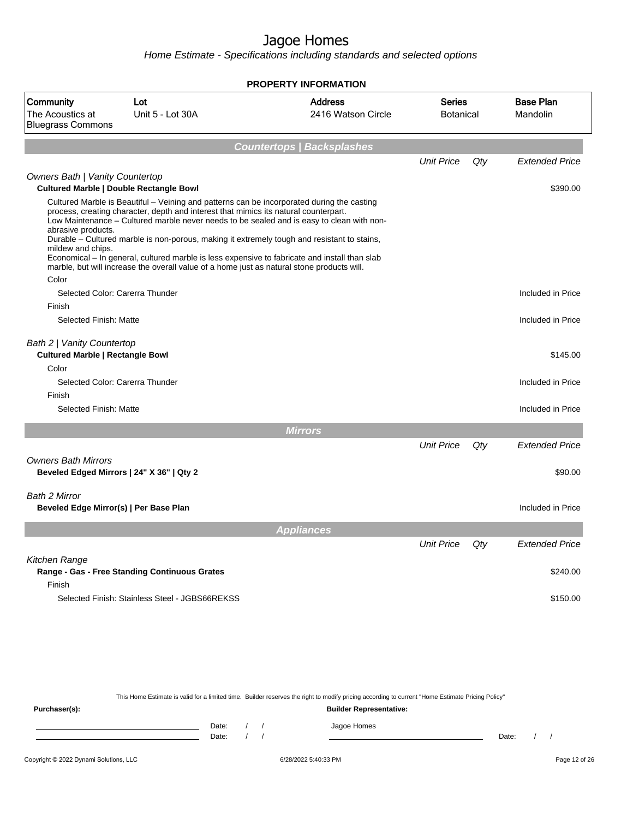Home Estimate - Specifications including standards and selected options

|                                                                                          |                                                                                                                                                                                                                                                                                                                                                                                                                                                                                                                                                                               | <b>PROPERTY INFORMATION</b>          |                   |                            |                              |
|------------------------------------------------------------------------------------------|-------------------------------------------------------------------------------------------------------------------------------------------------------------------------------------------------------------------------------------------------------------------------------------------------------------------------------------------------------------------------------------------------------------------------------------------------------------------------------------------------------------------------------------------------------------------------------|--------------------------------------|-------------------|----------------------------|------------------------------|
| Community<br>The Acoustics at<br><b>Bluegrass Commons</b>                                | Lot<br>Unit 5 - Lot 30A                                                                                                                                                                                                                                                                                                                                                                                                                                                                                                                                                       | <b>Address</b><br>2416 Watson Circle |                   | Series<br><b>Botanical</b> | <b>Base Plan</b><br>Mandolin |
|                                                                                          |                                                                                                                                                                                                                                                                                                                                                                                                                                                                                                                                                                               | <b>Countertops   Backsplashes</b>    |                   |                            |                              |
|                                                                                          |                                                                                                                                                                                                                                                                                                                                                                                                                                                                                                                                                                               |                                      | <b>Unit Price</b> | Qty                        | <b>Extended Price</b>        |
| <b>Owners Bath   Vanity Countertop</b><br><b>Cultured Marble   Double Rectangle Bowl</b> |                                                                                                                                                                                                                                                                                                                                                                                                                                                                                                                                                                               |                                      |                   |                            | \$390.00                     |
| abrasive products.<br>mildew and chips.<br>Color                                         | Cultured Marble is Beautiful - Veining and patterns can be incorporated during the casting<br>process, creating character, depth and interest that mimics its natural counterpart.<br>Low Maintenance - Cultured marble never needs to be sealed and is easy to clean with non-<br>Durable – Cultured marble is non-porous, making it extremely tough and resistant to stains,<br>Economical – In general, cultured marble is less expensive to fabricate and install than slab<br>marble, but will increase the overall value of a home just as natural stone products will. |                                      |                   |                            |                              |
| Selected Color: Carerra Thunder                                                          |                                                                                                                                                                                                                                                                                                                                                                                                                                                                                                                                                                               |                                      |                   |                            | Included in Price            |
| Finish                                                                                   |                                                                                                                                                                                                                                                                                                                                                                                                                                                                                                                                                                               |                                      |                   |                            |                              |
| Selected Finish: Matte                                                                   |                                                                                                                                                                                                                                                                                                                                                                                                                                                                                                                                                                               |                                      |                   |                            | Included in Price            |
| Bath 2   Vanity Countertop<br><b>Cultured Marble   Rectangle Bowl</b><br>Color           |                                                                                                                                                                                                                                                                                                                                                                                                                                                                                                                                                                               |                                      |                   |                            | \$145.00                     |
| Selected Color: Carerra Thunder                                                          |                                                                                                                                                                                                                                                                                                                                                                                                                                                                                                                                                                               |                                      |                   |                            | Included in Price            |
| Finish                                                                                   |                                                                                                                                                                                                                                                                                                                                                                                                                                                                                                                                                                               |                                      |                   |                            |                              |
| Selected Finish: Matte                                                                   |                                                                                                                                                                                                                                                                                                                                                                                                                                                                                                                                                                               |                                      |                   |                            | Included in Price            |
|                                                                                          |                                                                                                                                                                                                                                                                                                                                                                                                                                                                                                                                                                               | <b>Mirrors</b>                       |                   |                            |                              |
|                                                                                          |                                                                                                                                                                                                                                                                                                                                                                                                                                                                                                                                                                               |                                      | <b>Unit Price</b> | Qty                        | <b>Extended Price</b>        |
| <b>Owners Bath Mirrors</b><br>Beveled Edged Mirrors   24" X 36"   Qty 2                  |                                                                                                                                                                                                                                                                                                                                                                                                                                                                                                                                                                               |                                      |                   |                            | \$90.00                      |
| Bath 2 Mirror<br>Beveled Edge Mirror(s)   Per Base Plan                                  |                                                                                                                                                                                                                                                                                                                                                                                                                                                                                                                                                                               |                                      |                   |                            | Included in Price            |
|                                                                                          |                                                                                                                                                                                                                                                                                                                                                                                                                                                                                                                                                                               | <b>Appliances</b>                    |                   |                            |                              |
|                                                                                          |                                                                                                                                                                                                                                                                                                                                                                                                                                                                                                                                                                               |                                      | <b>Unit Price</b> | Qty                        | <b>Extended Price</b>        |
| Kitchen Range<br>Finish                                                                  | Range - Gas - Free Standing Continuous Grates                                                                                                                                                                                                                                                                                                                                                                                                                                                                                                                                 |                                      |                   |                            | \$240.00                     |
|                                                                                          | Selected Finish: Stainless Steel - JGBS66REKSS                                                                                                                                                                                                                                                                                                                                                                                                                                                                                                                                |                                      |                   |                            | \$150.00                     |

This Home Estimate is valid for a limited time. Builder reserves the right to modify pricing according to current "Home Estimate Pricing Policy"

**Purchaser(s): Builder Representative:** Date: / / Jagoe Homes<br>Date: / / Jagoe Homes Date: / / Date: / /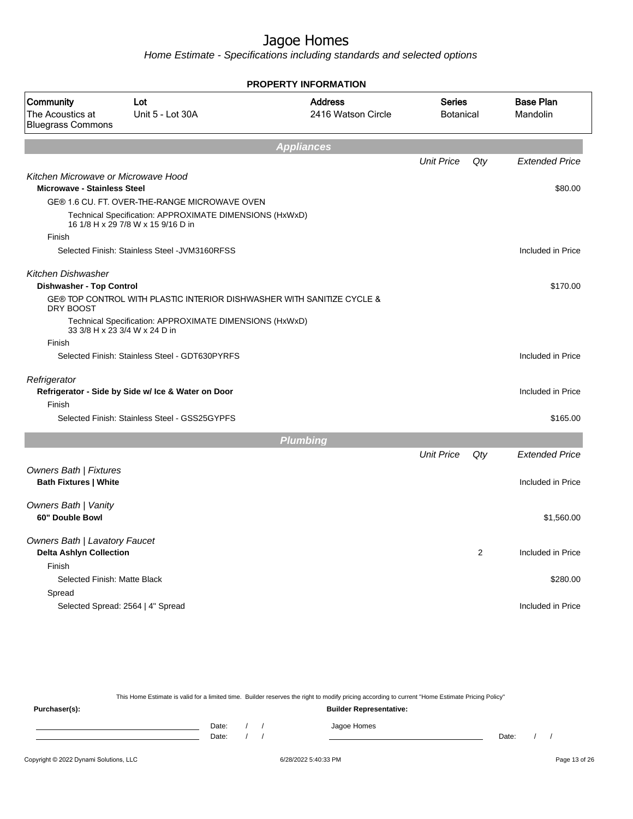Home Estimate - Specifications including standards and selected options

|                                                               |                                                                                               | <b>PROPERTY INFORMATION</b>          |                   |                                   |                              |
|---------------------------------------------------------------|-----------------------------------------------------------------------------------------------|--------------------------------------|-------------------|-----------------------------------|------------------------------|
| Community<br>The Acoustics at<br><b>Bluegrass Commons</b>     | Lot<br>Unit 5 - Lot 30A                                                                       | <b>Address</b><br>2416 Watson Circle |                   | <b>Series</b><br><b>Botanical</b> | <b>Base Plan</b><br>Mandolin |
|                                                               |                                                                                               | <b>Appliances</b>                    |                   |                                   |                              |
|                                                               |                                                                                               |                                      | <b>Unit Price</b> | Qty                               | <b>Extended Price</b>        |
| Kitchen Microwave or Microwave Hood                           |                                                                                               |                                      |                   |                                   |                              |
| <b>Microwave - Stainless Steel</b>                            |                                                                                               |                                      |                   |                                   | \$80.00                      |
|                                                               | GE® 1.6 CU. FT. OVER-THE-RANGE MICROWAVE OVEN                                                 |                                      |                   |                                   |                              |
|                                                               | Technical Specification: APPROXIMATE DIMENSIONS (HxWxD)<br>16 1/8 H x 29 7/8 W x 15 9/16 D in |                                      |                   |                                   |                              |
| Finish                                                        |                                                                                               |                                      |                   |                                   |                              |
|                                                               | Selected Finish: Stainless Steel - JVM3160RFSS                                                |                                      |                   |                                   | Included in Price            |
| Kitchen Dishwasher                                            |                                                                                               |                                      |                   |                                   |                              |
| <b>Dishwasher - Top Control</b>                               |                                                                                               |                                      |                   |                                   | \$170.00                     |
| DRY BOOST                                                     | GE® TOP CONTROL WITH PLASTIC INTERIOR DISHWASHER WITH SANITIZE CYCLE &                        |                                      |                   |                                   |                              |
|                                                               | Technical Specification: APPROXIMATE DIMENSIONS (HxWxD)<br>33 3/8 H x 23 3/4 W x 24 D in      |                                      |                   |                                   |                              |
| Finish                                                        |                                                                                               |                                      |                   |                                   |                              |
|                                                               | Selected Finish: Stainless Steel - GDT630PYRFS                                                |                                      |                   |                                   | Included in Price            |
| Refrigerator                                                  |                                                                                               |                                      |                   |                                   |                              |
|                                                               | Refrigerator - Side by Side w/ Ice & Water on Door                                            |                                      |                   |                                   | Included in Price            |
| Finish                                                        |                                                                                               |                                      |                   |                                   |                              |
|                                                               | Selected Finish: Stainless Steel - GSS25GYPFS                                                 |                                      |                   |                                   | \$165.00                     |
|                                                               |                                                                                               | <b>Plumbing</b>                      |                   |                                   |                              |
|                                                               |                                                                                               |                                      | <b>Unit Price</b> | Qty                               | <b>Extended Price</b>        |
| <b>Owners Bath   Fixtures</b><br><b>Bath Fixtures   White</b> |                                                                                               |                                      |                   |                                   | Included in Price            |
|                                                               |                                                                                               |                                      |                   |                                   |                              |
| <b>Owners Bath   Vanity</b>                                   |                                                                                               |                                      |                   |                                   |                              |
| 60" Double Bowl                                               |                                                                                               |                                      |                   |                                   | \$1,560.00                   |
| <b>Owners Bath   Lavatory Faucet</b>                          |                                                                                               |                                      |                   |                                   |                              |
| <b>Delta Ashlyn Collection</b>                                |                                                                                               |                                      |                   | $\overline{2}$                    | Included in Price            |
| Finish                                                        |                                                                                               |                                      |                   |                                   |                              |
| Selected Finish: Matte Black                                  |                                                                                               |                                      |                   |                                   | \$280.00                     |
| Spread                                                        |                                                                                               |                                      |                   |                                   |                              |
|                                                               | Selected Spread: 2564   4" Spread                                                             |                                      |                   |                                   | Included in Price            |
|                                                               |                                                                                               |                                      |                   |                                   |                              |

This Home Estimate is valid for a limited time. Builder reserves the right to modify pricing according to current "Home Estimate Pricing Policy"

**Purchaser(s): Builder Representative:** Date: / / Jagoe Homes<br>Date: / / Jagoe Homes Date: / / Date: / /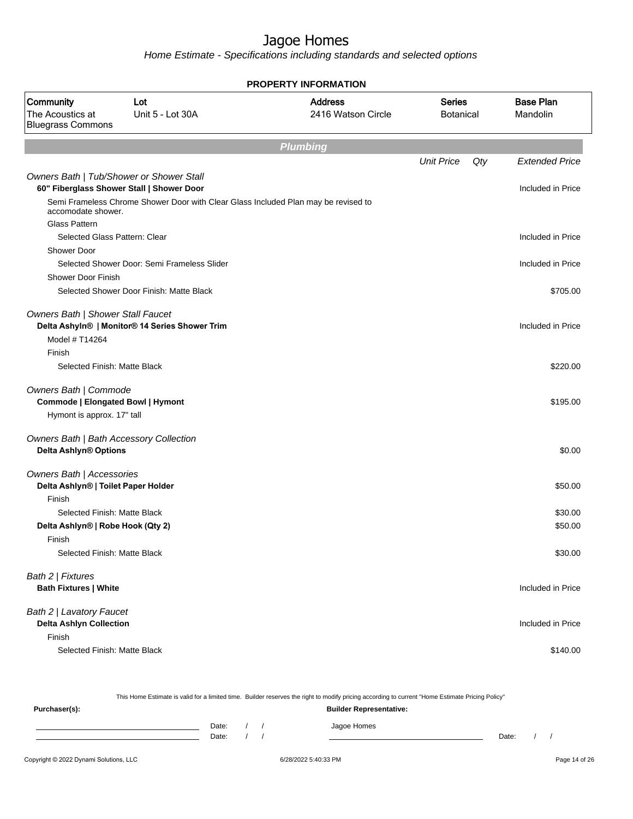| <b>PROPERTY INFORMATION</b>                                      |                                                                                    |                                      |                                   |     |                              |  |  |  |
|------------------------------------------------------------------|------------------------------------------------------------------------------------|--------------------------------------|-----------------------------------|-----|------------------------------|--|--|--|
| Community<br>The Acoustics at<br><b>Bluegrass Commons</b>        | Lot<br>Unit 5 - Lot 30A                                                            | <b>Address</b><br>2416 Watson Circle | <b>Series</b><br><b>Botanical</b> |     | <b>Base Plan</b><br>Mandolin |  |  |  |
|                                                                  |                                                                                    | <b>Plumbing</b>                      |                                   |     |                              |  |  |  |
|                                                                  |                                                                                    |                                      | <b>Unit Price</b>                 | Qty | <b>Extended Price</b>        |  |  |  |
|                                                                  | Owners Bath   Tub/Shower or Shower Stall                                           |                                      |                                   |     |                              |  |  |  |
|                                                                  | 60" Fiberglass Shower Stall   Shower Door                                          |                                      |                                   |     | Included in Price            |  |  |  |
| accomodate shower.                                               | Semi Frameless Chrome Shower Door with Clear Glass Included Plan may be revised to |                                      |                                   |     |                              |  |  |  |
| Glass Pattern                                                    |                                                                                    |                                      |                                   |     |                              |  |  |  |
|                                                                  | Selected Glass Pattern: Clear                                                      |                                      |                                   |     | Included in Price            |  |  |  |
| Shower Door                                                      |                                                                                    |                                      |                                   |     |                              |  |  |  |
|                                                                  | Selected Shower Door: Semi Frameless Slider                                        |                                      |                                   |     | Included in Price            |  |  |  |
| <b>Shower Door Finish</b>                                        |                                                                                    |                                      |                                   |     |                              |  |  |  |
|                                                                  | Selected Shower Door Finish: Matte Black                                           |                                      |                                   |     | \$705.00                     |  |  |  |
| Owners Bath   Shower Stall Faucet                                |                                                                                    |                                      |                                   |     |                              |  |  |  |
|                                                                  | Delta Ashyln®   Monitor® 14 Series Shower Trim                                     |                                      |                                   |     | Included in Price            |  |  |  |
| Model # T14264                                                   |                                                                                    |                                      |                                   |     |                              |  |  |  |
| Finish                                                           |                                                                                    |                                      |                                   |     |                              |  |  |  |
| Selected Finish: Matte Black                                     |                                                                                    |                                      |                                   |     | \$220.00                     |  |  |  |
|                                                                  |                                                                                    |                                      |                                   |     |                              |  |  |  |
| Owners Bath   Commode                                            |                                                                                    |                                      |                                   |     |                              |  |  |  |
| <b>Commode   Elongated Bowl   Hymont</b>                         |                                                                                    |                                      |                                   |     | \$195.00                     |  |  |  |
| Hymont is approx. 17" tall                                       |                                                                                    |                                      |                                   |     |                              |  |  |  |
|                                                                  | Owners Bath   Bath Accessory Collection                                            |                                      |                                   |     |                              |  |  |  |
| Delta Ashlyn® Options                                            |                                                                                    |                                      |                                   |     | \$0.00                       |  |  |  |
|                                                                  |                                                                                    |                                      |                                   |     |                              |  |  |  |
| Owners Bath   Accessories<br>Delta Ashlyn®   Toilet Paper Holder |                                                                                    |                                      |                                   |     | \$50.00                      |  |  |  |
| Finish                                                           |                                                                                    |                                      |                                   |     |                              |  |  |  |
| Selected Finish: Matte Black                                     |                                                                                    |                                      |                                   |     | \$30.00                      |  |  |  |
| Delta Ashlyn®   Robe Hook (Qty 2)                                |                                                                                    |                                      |                                   |     | \$50.00                      |  |  |  |
| Finish                                                           |                                                                                    |                                      |                                   |     |                              |  |  |  |
| Selected Finish: Matte Black                                     |                                                                                    |                                      |                                   |     | \$30.00                      |  |  |  |
|                                                                  |                                                                                    |                                      |                                   |     |                              |  |  |  |
| Bath 2   Fixtures                                                |                                                                                    |                                      |                                   |     |                              |  |  |  |
| <b>Bath Fixtures   White</b>                                     |                                                                                    |                                      |                                   |     | Included in Price            |  |  |  |
| Bath 2   Lavatory Faucet                                         |                                                                                    |                                      |                                   |     |                              |  |  |  |
| <b>Delta Ashlyn Collection</b>                                   |                                                                                    |                                      |                                   |     | Included in Price            |  |  |  |
| Finish                                                           |                                                                                    |                                      |                                   |     |                              |  |  |  |
| Selected Finish: Matte Black                                     |                                                                                    |                                      |                                   |     | \$140.00                     |  |  |  |
|                                                                  |                                                                                    |                                      |                                   |     |                              |  |  |  |

|                                        |                |  | This Home Estimate is valid for a limited time. Builder reserves the right to modify pricing according to current "Home Estimate Pricing Policy" |       |  |               |
|----------------------------------------|----------------|--|--------------------------------------------------------------------------------------------------------------------------------------------------|-------|--|---------------|
| Purchaser(s):                          |                |  | <b>Builder Representative:</b>                                                                                                                   |       |  |               |
|                                        | Date:<br>Date: |  | Jagoe Homes                                                                                                                                      | Date: |  |               |
| Copyright © 2022 Dynami Solutions, LLC |                |  | 6/28/2022 5:40:33 PM                                                                                                                             |       |  | Page 14 of 26 |
|                                        |                |  |                                                                                                                                                  |       |  |               |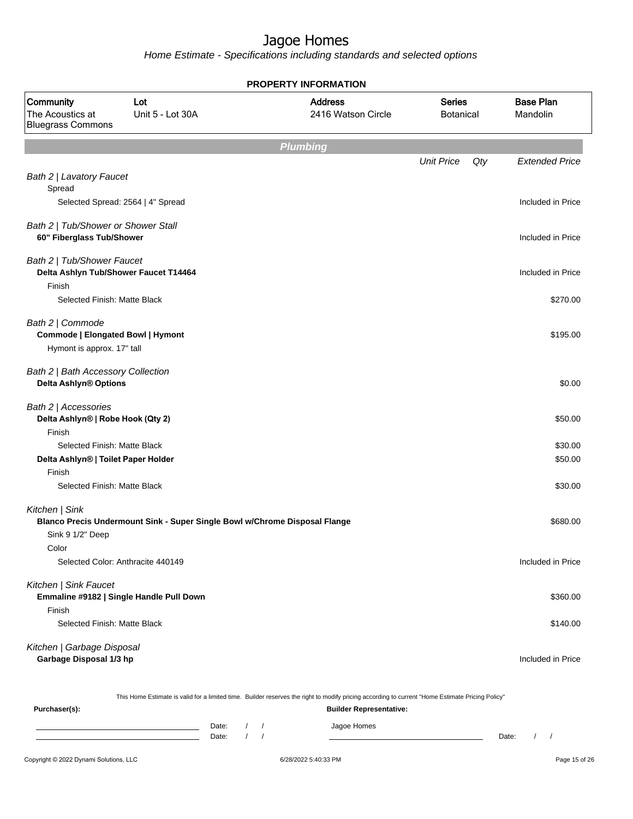Home Estimate - Specifications including standards and selected options

| PROPERTY INFORMATION                                                                                                                                                                                                        |                  |                                      |                                   |     |                              |  |
|-----------------------------------------------------------------------------------------------------------------------------------------------------------------------------------------------------------------------------|------------------|--------------------------------------|-----------------------------------|-----|------------------------------|--|
| Community<br>Lot<br>The Acoustics at<br><b>Bluegrass Commons</b>                                                                                                                                                            | Unit 5 - Lot 30A | <b>Address</b><br>2416 Watson Circle | <b>Series</b><br><b>Botanical</b> |     | <b>Base Plan</b><br>Mandolin |  |
|                                                                                                                                                                                                                             |                  | <b>Plumbing</b>                      |                                   |     |                              |  |
|                                                                                                                                                                                                                             |                  |                                      | <b>Unit Price</b>                 | Qty | <b>Extended Price</b>        |  |
| Bath 2   Lavatory Faucet<br>Spread<br>Selected Spread: 2564   4" Spread                                                                                                                                                     |                  |                                      |                                   |     | Included in Price            |  |
|                                                                                                                                                                                                                             |                  |                                      |                                   |     |                              |  |
| Bath 2   Tub/Shower or Shower Stall<br>60" Fiberglass Tub/Shower                                                                                                                                                            |                  |                                      |                                   |     | Included in Price            |  |
| Bath 2   Tub/Shower Faucet<br>Delta Ashlyn Tub/Shower Faucet T14464                                                                                                                                                         |                  |                                      |                                   |     | Included in Price            |  |
| Finish                                                                                                                                                                                                                      |                  |                                      |                                   |     |                              |  |
| Selected Finish: Matte Black                                                                                                                                                                                                |                  |                                      |                                   |     | \$270.00                     |  |
| Bath 2   Commode<br>Commode   Elongated Bowl   Hymont                                                                                                                                                                       |                  |                                      |                                   |     | \$195.00                     |  |
| Hymont is approx. 17" tall                                                                                                                                                                                                  |                  |                                      |                                   |     |                              |  |
| Bath 2   Bath Accessory Collection<br>Delta Ashlyn® Options                                                                                                                                                                 |                  |                                      |                                   |     | \$0.00                       |  |
| Bath 2   Accessories<br>Delta Ashlyn®   Robe Hook (Qty 2)                                                                                                                                                                   |                  |                                      |                                   |     | \$50.00                      |  |
|                                                                                                                                                                                                                             |                  |                                      |                                   |     | \$30.00                      |  |
|                                                                                                                                                                                                                             |                  |                                      |                                   |     | \$50.00                      |  |
| Finish                                                                                                                                                                                                                      |                  |                                      |                                   |     |                              |  |
| Selected Finish: Matte Black                                                                                                                                                                                                |                  |                                      |                                   |     | \$30.00                      |  |
| Kitchen   Sink                                                                                                                                                                                                              |                  |                                      |                                   |     | \$680.00                     |  |
|                                                                                                                                                                                                                             |                  |                                      |                                   |     |                              |  |
| Color                                                                                                                                                                                                                       |                  |                                      |                                   |     |                              |  |
| Selected Color: Anthracite 440149                                                                                                                                                                                           |                  |                                      |                                   |     | Included in Price            |  |
| Kitchen   Sink Faucet                                                                                                                                                                                                       |                  |                                      |                                   |     | \$360.00                     |  |
| Finish                                                                                                                                                                                                                      |                  |                                      |                                   |     |                              |  |
| Selected Finish: Matte Black                                                                                                                                                                                                |                  |                                      |                                   |     | \$140.00                     |  |
| Kitchen   Garbage Disposal<br>Garbage Disposal 1/3 hp                                                                                                                                                                       |                  |                                      |                                   |     | Included in Price            |  |
| Finish<br>Selected Finish: Matte Black<br>Delta Ashlyn®   Toilet Paper Holder<br>Blanco Precis Undermount Sink - Super Single Bowl w/Chrome Disposal Flange<br>Sink 9 1/2" Deep<br>Emmaline #9182   Single Handle Pull Down |                  |                                      |                                   |     |                              |  |

This Home Estimate is valid for a limited time. Builder reserves the right to modify pricing according to current "Home Estimate Pricing Policy"

**Purchaser(s): Builder Representative:** Date: / / Jagoe Homes<br>Date: / / Jagoe Homes Date: / / **Date: / / 2006** Date: / / / Date: / / /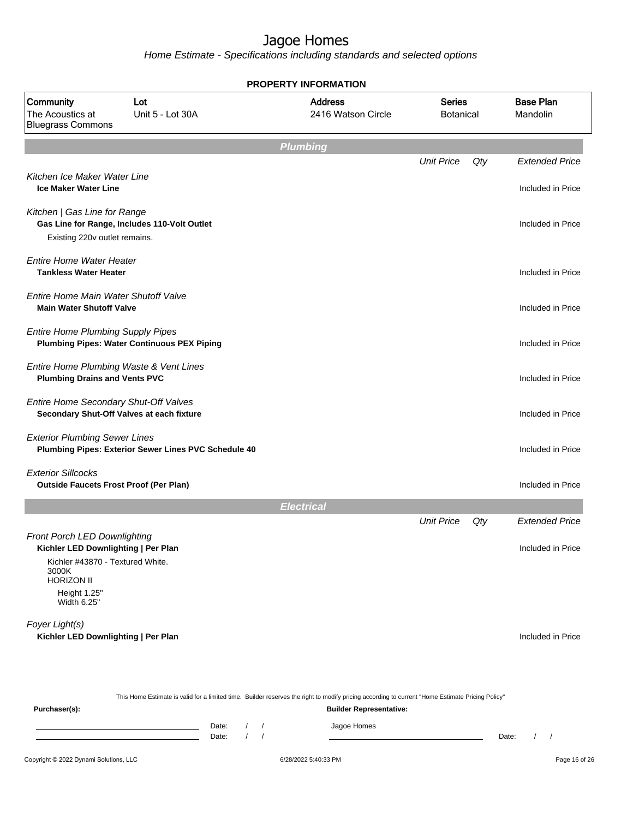Home Estimate - Specifications including standards and selected options

|                                                                                 | <b>PROPERTY INFORMATION</b>                                                                                                                     |                                      |                                   |     |                              |  |  |  |
|---------------------------------------------------------------------------------|-------------------------------------------------------------------------------------------------------------------------------------------------|--------------------------------------|-----------------------------------|-----|------------------------------|--|--|--|
| Community<br>The Acoustics at<br><b>Bluegrass Commons</b>                       | Lot<br>Unit 5 - Lot 30A                                                                                                                         | <b>Address</b><br>2416 Watson Circle | <b>Series</b><br><b>Botanical</b> |     | <b>Base Plan</b><br>Mandolin |  |  |  |
|                                                                                 |                                                                                                                                                 | <b>Plumbing</b>                      |                                   |     |                              |  |  |  |
|                                                                                 |                                                                                                                                                 |                                      | <b>Unit Price</b>                 | Qty | <b>Extended Price</b>        |  |  |  |
| Kitchen Ice Maker Water Line<br><b>Ice Maker Water Line</b>                     |                                                                                                                                                 |                                      |                                   |     | Included in Price            |  |  |  |
| Kitchen   Gas Line for Range<br>Existing 220v outlet remains.                   | Gas Line for Range, Includes 110-Volt Outlet                                                                                                    |                                      |                                   |     | Included in Price            |  |  |  |
| <b>Entire Home Water Heater</b><br><b>Tankless Water Heater</b>                 |                                                                                                                                                 |                                      |                                   |     | Included in Price            |  |  |  |
| Entire Home Main Water Shutoff Valve<br><b>Main Water Shutoff Valve</b>         |                                                                                                                                                 |                                      |                                   |     | Included in Price            |  |  |  |
| <b>Entire Home Plumbing Supply Pipes</b>                                        | <b>Plumbing Pipes: Water Continuous PEX Piping</b>                                                                                              |                                      |                                   |     | Included in Price            |  |  |  |
| Entire Home Plumbing Waste & Vent Lines<br><b>Plumbing Drains and Vents PVC</b> |                                                                                                                                                 |                                      |                                   |     | Included in Price            |  |  |  |
| Entire Home Secondary Shut-Off Valves                                           | Secondary Shut-Off Valves at each fixture                                                                                                       |                                      |                                   |     | Included in Price            |  |  |  |
| <b>Exterior Plumbing Sewer Lines</b>                                            | Plumbing Pipes: Exterior Sewer Lines PVC Schedule 40                                                                                            |                                      |                                   |     | Included in Price            |  |  |  |
| <b>Exterior Sillcocks</b><br><b>Outside Faucets Frost Proof (Per Plan)</b>      |                                                                                                                                                 |                                      |                                   |     | Included in Price            |  |  |  |
|                                                                                 |                                                                                                                                                 | <b>Electrical</b>                    |                                   |     |                              |  |  |  |
|                                                                                 |                                                                                                                                                 |                                      | <b>Unit Price</b>                 | Qty | <b>Extended Price</b>        |  |  |  |
| <b>Front Porch LED Downlighting</b><br>Kichler LED Downlighting   Per Plan      |                                                                                                                                                 |                                      |                                   |     | Included in Price            |  |  |  |
| Kichler #43870 - Textured White.<br>3000K<br><b>HORIZON II</b>                  |                                                                                                                                                 |                                      |                                   |     |                              |  |  |  |
| Height 1.25"<br>Width 6.25"                                                     |                                                                                                                                                 |                                      |                                   |     |                              |  |  |  |
| Foyer Light(s)<br>Kichler LED Downlighting   Per Plan                           |                                                                                                                                                 |                                      |                                   |     | Included in Price            |  |  |  |
|                                                                                 | This Home Estimate is valid for a limited time. Builder reserves the right to modify pricing according to current "Home Estimate Pricing Policy |                                      |                                   |     |                              |  |  |  |

#### This Home Estimate is valid for a limited time. Builder reserves the right to modify pricing according to current "Home Estimate Pricing Policy"

**Purchaser(s): Builder Representative:** Date: / / Jagoe Homes<br>
Date: / / Jagoe Homes Date: / /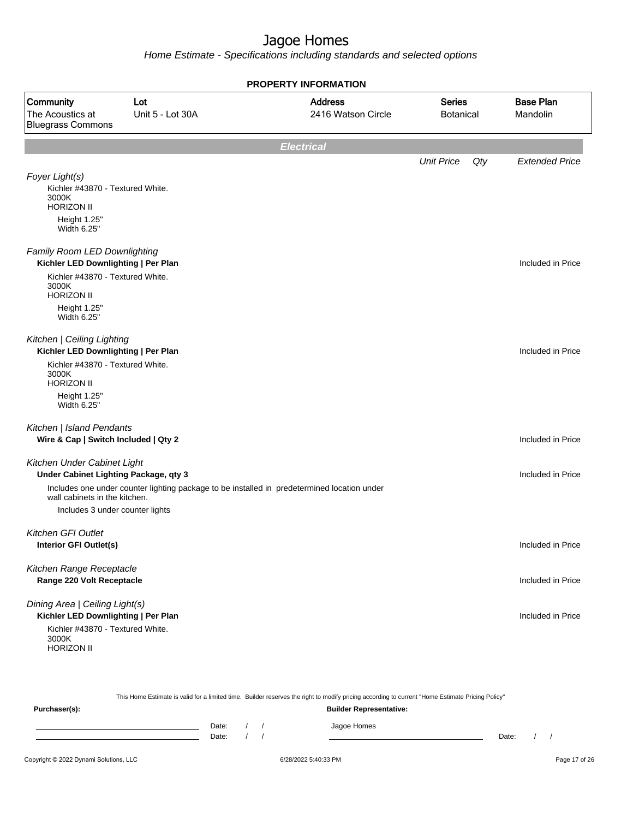| <b>PROPERTY INFORMATION</b>                                                                      |                         |                                                                                             |                                   |     |                              |  |  |
|--------------------------------------------------------------------------------------------------|-------------------------|---------------------------------------------------------------------------------------------|-----------------------------------|-----|------------------------------|--|--|
| Community<br>The Acoustics at<br><b>Bluegrass Commons</b>                                        | Lot<br>Unit 5 - Lot 30A | <b>Address</b><br>2416 Watson Circle                                                        | <b>Series</b><br><b>Botanical</b> |     | <b>Base Plan</b><br>Mandolin |  |  |
|                                                                                                  |                         | <b>Electrical</b>                                                                           |                                   |     |                              |  |  |
|                                                                                                  |                         |                                                                                             | <b>Unit Price</b>                 | Qty | <b>Extended Price</b>        |  |  |
| Foyer Light(s)<br>Kichler #43870 - Textured White.<br>3000K<br><b>HORIZON II</b><br>Height 1.25" |                         |                                                                                             |                                   |     |                              |  |  |
| Width 6.25"                                                                                      |                         |                                                                                             |                                   |     |                              |  |  |
| Family Room LED Downlighting<br>Kichler LED Downlighting   Per Plan                              |                         |                                                                                             |                                   |     | Included in Price            |  |  |
| Kichler #43870 - Textured White.<br>3000K<br><b>HORIZON II</b>                                   |                         |                                                                                             |                                   |     |                              |  |  |
| Height 1.25"<br>Width 6.25"                                                                      |                         |                                                                                             |                                   |     |                              |  |  |
| Kitchen   Ceiling Lighting<br>Kichler LED Downlighting   Per Plan                                |                         |                                                                                             |                                   |     | Included in Price            |  |  |
| Kichler #43870 - Textured White.<br>3000K<br><b>HORIZON II</b>                                   |                         |                                                                                             |                                   |     |                              |  |  |
| Height 1.25"<br>Width 6.25"                                                                      |                         |                                                                                             |                                   |     |                              |  |  |
| Kitchen   Island Pendants                                                                        |                         |                                                                                             |                                   |     |                              |  |  |
| Wire & Cap   Switch Included   Qty 2                                                             |                         |                                                                                             |                                   |     | Included in Price            |  |  |
| Kitchen Under Cabinet Light<br>Under Cabinet Lighting Package, qty 3                             |                         |                                                                                             |                                   |     | Included in Price            |  |  |
| wall cabinets in the kitchen.                                                                    |                         | Includes one under counter lighting package to be installed in predetermined location under |                                   |     |                              |  |  |
| Includes 3 under counter lights                                                                  |                         |                                                                                             |                                   |     |                              |  |  |
| <b>Kitchen GFI Outlet</b><br>Interior GFI Outlet(s)                                              |                         |                                                                                             |                                   |     | Included in Price            |  |  |
| Kitchen Range Receptacle<br>Range 220 Volt Receptacle                                            |                         |                                                                                             |                                   |     | Included in Price            |  |  |
| Dining Area   Ceiling Light(s)<br>Kichler LED Downlighting   Per Plan                            |                         |                                                                                             |                                   |     | Included in Price            |  |  |
| Kichler #43870 - Textured White.<br>3000K<br><b>HORIZON II</b>                                   |                         |                                                                                             |                                   |     |                              |  |  |

| This Home Estimate is valid for a limited time. Builder reserves the right to modify pricing according to current "Home Estimate Pricing Policy" |  |                                |  |  |             |       |  |  |  |
|--------------------------------------------------------------------------------------------------------------------------------------------------|--|--------------------------------|--|--|-------------|-------|--|--|--|
| Purchaser(s):                                                                                                                                    |  | <b>Builder Representative:</b> |  |  |             |       |  |  |  |
|                                                                                                                                                  |  | Date:                          |  |  | Jagoe Homes |       |  |  |  |
|                                                                                                                                                  |  | Date:                          |  |  |             | Date: |  |  |  |
|                                                                                                                                                  |  |                                |  |  |             |       |  |  |  |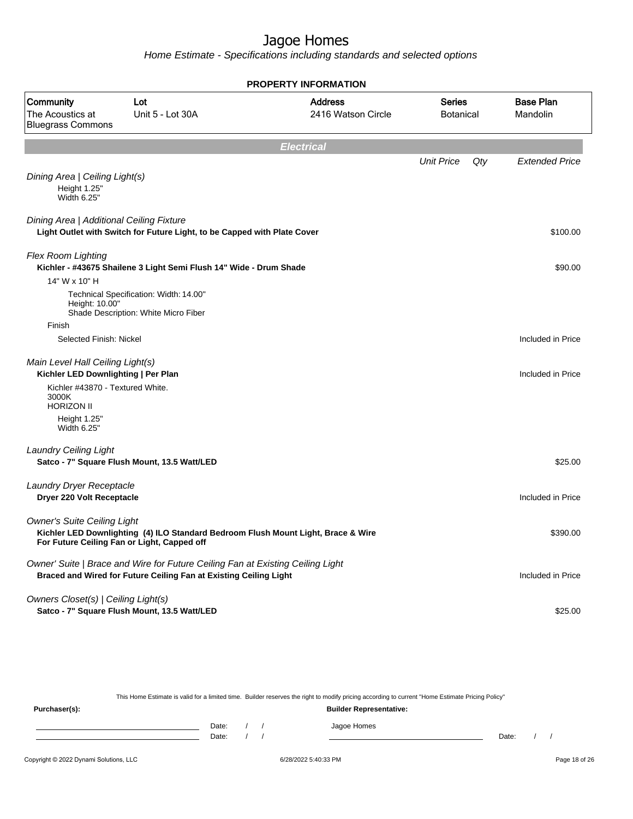Home Estimate - Specifications including standards and selected options

| <b>PROPERTY INFORMATION</b>                                                                                 |                                                                                                                                                     |                                                                                   |                                   |     |                              |  |
|-------------------------------------------------------------------------------------------------------------|-----------------------------------------------------------------------------------------------------------------------------------------------------|-----------------------------------------------------------------------------------|-----------------------------------|-----|------------------------------|--|
| Community<br>The Acoustics at<br><b>Bluegrass Commons</b>                                                   | Lot<br>Unit 5 - Lot 30A                                                                                                                             | <b>Address</b><br>2416 Watson Circle                                              | <b>Series</b><br><b>Botanical</b> |     | <b>Base Plan</b><br>Mandolin |  |
|                                                                                                             |                                                                                                                                                     | <b>Electrical</b>                                                                 |                                   |     |                              |  |
|                                                                                                             |                                                                                                                                                     |                                                                                   | <b>Unit Price</b>                 | Qty | <b>Extended Price</b>        |  |
| Dining Area   Ceiling Light(s)<br>Height 1.25"<br>Width 6.25"                                               |                                                                                                                                                     |                                                                                   |                                   |     |                              |  |
| Dining Area   Additional Ceiling Fixture                                                                    | Light Outlet with Switch for Future Light, to be Capped with Plate Cover                                                                            |                                                                                   |                                   |     | \$100.00                     |  |
| <b>Flex Room Lighting</b>                                                                                   | Kichler - #43675 Shailene 3 Light Semi Flush 14" Wide - Drum Shade                                                                                  |                                                                                   |                                   |     | \$90.00                      |  |
| 14" W x 10" H<br>Height: 10.00"                                                                             | Technical Specification: Width: 14.00"<br>Shade Description: White Micro Fiber                                                                      |                                                                                   |                                   |     |                              |  |
| Finish                                                                                                      |                                                                                                                                                     |                                                                                   |                                   |     |                              |  |
| Selected Finish: Nickel                                                                                     |                                                                                                                                                     |                                                                                   |                                   |     | Included in Price            |  |
| Main Level Hall Ceiling Light(s)<br>Kichler LED Downlighting   Per Plan<br>Kichler #43870 - Textured White. |                                                                                                                                                     |                                                                                   |                                   |     | Included in Price            |  |
| 3000K<br><b>HORIZON II</b><br>Height 1.25"                                                                  |                                                                                                                                                     |                                                                                   |                                   |     |                              |  |
| Width 6.25"                                                                                                 |                                                                                                                                                     |                                                                                   |                                   |     |                              |  |
| <b>Laundry Ceiling Light</b>                                                                                | Satco - 7" Square Flush Mount, 13.5 Watt/LED                                                                                                        |                                                                                   |                                   |     | \$25.00                      |  |
| Laundry Dryer Receptacle<br>Dryer 220 Volt Receptacle                                                       |                                                                                                                                                     |                                                                                   |                                   |     | Included in Price            |  |
| <b>Owner's Suite Ceiling Light</b>                                                                          | For Future Ceiling Fan or Light, Capped off                                                                                                         | Kichler LED Downlighting (4) ILO Standard Bedroom Flush Mount Light, Brace & Wire |                                   |     | \$390.00                     |  |
|                                                                                                             | Owner' Suite   Brace and Wire for Future Ceiling Fan at Existing Ceiling Light<br>Braced and Wired for Future Ceiling Fan at Existing Ceiling Light |                                                                                   |                                   |     | Included in Price            |  |
| Owners Closet(s)   Ceiling Light(s)                                                                         | Satco - 7" Square Flush Mount, 13.5 Watt/LED                                                                                                        |                                                                                   |                                   |     | \$25.00                      |  |

This Home Estimate is valid for a limited time. Builder reserves the right to modify pricing according to current "Home Estimate Pricing Policy" **Purchaser(s): Builder Representative:**

Date: / / Jagoe Homes<br>Date: / / Jagoe Homes Date: / / Date: / /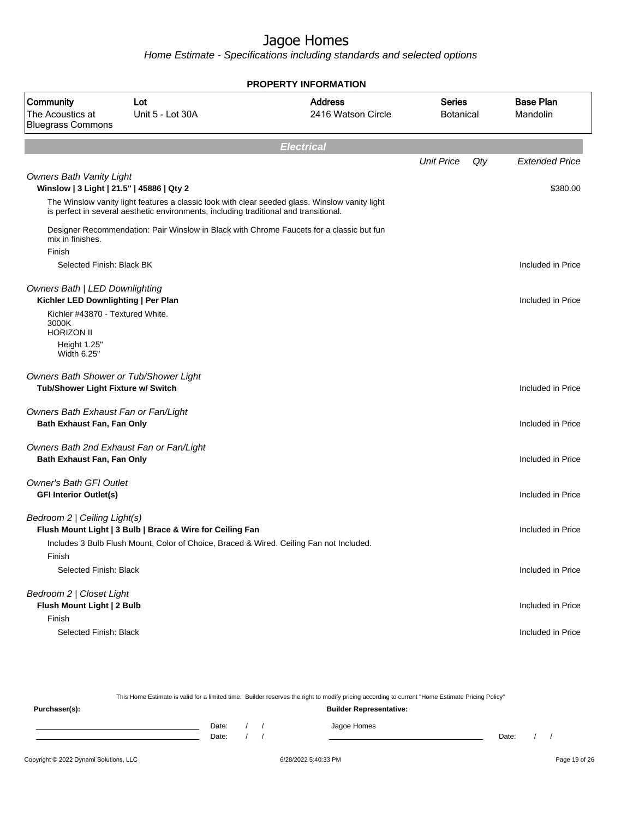| <b>PROPERTY INFORMATION</b>                                                  |                                                                                                                                                                                         |                                      |                                   |     |                              |  |
|------------------------------------------------------------------------------|-----------------------------------------------------------------------------------------------------------------------------------------------------------------------------------------|--------------------------------------|-----------------------------------|-----|------------------------------|--|
| Community<br>The Acoustics at<br><b>Bluegrass Commons</b>                    | Lot<br>Unit 5 - Lot 30A                                                                                                                                                                 | <b>Address</b><br>2416 Watson Circle | <b>Series</b><br><b>Botanical</b> |     | <b>Base Plan</b><br>Mandolin |  |
|                                                                              |                                                                                                                                                                                         | <b>Electrical</b>                    |                                   |     |                              |  |
|                                                                              |                                                                                                                                                                                         |                                      | <b>Unit Price</b>                 | Qty | <b>Extended Price</b>        |  |
| <b>Owners Bath Vanity Light</b><br>Winslow   3 Light   21.5"   45886   Qty 2 |                                                                                                                                                                                         |                                      |                                   |     | \$380.00                     |  |
|                                                                              | The Winslow vanity light features a classic look with clear seeded glass. Winslow vanity light<br>is perfect in several aesthetic environments, including traditional and transitional. |                                      |                                   |     |                              |  |
| mix in finishes.                                                             | Designer Recommendation: Pair Winslow in Black with Chrome Faucets for a classic but fun                                                                                                |                                      |                                   |     |                              |  |
| Finish<br>Selected Finish: Black BK                                          |                                                                                                                                                                                         |                                      |                                   |     | Included in Price            |  |
| <b>Owners Bath   LED Downlighting</b><br>Kichler LED Downlighting   Per Plan |                                                                                                                                                                                         |                                      |                                   |     | Included in Price            |  |
| Kichler #43870 - Textured White.<br>3000K<br><b>HORIZON II</b>               |                                                                                                                                                                                         |                                      |                                   |     |                              |  |
| Height 1.25"<br>Width 6.25"                                                  |                                                                                                                                                                                         |                                      |                                   |     |                              |  |
| Owners Bath Shower or Tub/Shower Light<br>Tub/Shower Light Fixture w/ Switch |                                                                                                                                                                                         |                                      |                                   |     | Included in Price            |  |
| Owners Bath Exhaust Fan or Fan/Light<br>Bath Exhaust Fan, Fan Only           |                                                                                                                                                                                         |                                      |                                   |     | Included in Price            |  |
| Bath Exhaust Fan, Fan Only                                                   | Owners Bath 2nd Exhaust Fan or Fan/Light                                                                                                                                                |                                      |                                   |     | Included in Price            |  |
| <b>Owner's Bath GFI Outlet</b><br><b>GFI Interior Outlet(s)</b>              |                                                                                                                                                                                         |                                      |                                   |     | Included in Price            |  |
| Bedroom 2   Ceiling Light(s)                                                 | Flush Mount Light   3 Bulb   Brace & Wire for Ceiling Fan<br>Includes 3 Bulb Flush Mount, Color of Choice, Braced & Wired. Ceiling Fan not Included.                                    |                                      |                                   |     | Included in Price            |  |
| Finish<br>Selected Finish: Black                                             |                                                                                                                                                                                         |                                      |                                   |     | Included in Price            |  |
| Bedroom 2   Closet Light<br>Flush Mount Light   2 Bulb<br>Finish             |                                                                                                                                                                                         |                                      |                                   |     | Included in Price            |  |
| Selected Finish: Black                                                       |                                                                                                                                                                                         |                                      |                                   |     | Included in Price            |  |

| This Home Estimate is valid for a limited time. Builder reserves the right to modify pricing according to current "Home Estimate Pricing Policy" |                                |  |  |             |       |  |  |
|--------------------------------------------------------------------------------------------------------------------------------------------------|--------------------------------|--|--|-------------|-------|--|--|
| Purchaser(s):                                                                                                                                    | <b>Builder Representative:</b> |  |  |             |       |  |  |
|                                                                                                                                                  | Date:                          |  |  | Jagoe Homes |       |  |  |
|                                                                                                                                                  | Date:                          |  |  |             | Date: |  |  |
|                                                                                                                                                  |                                |  |  |             |       |  |  |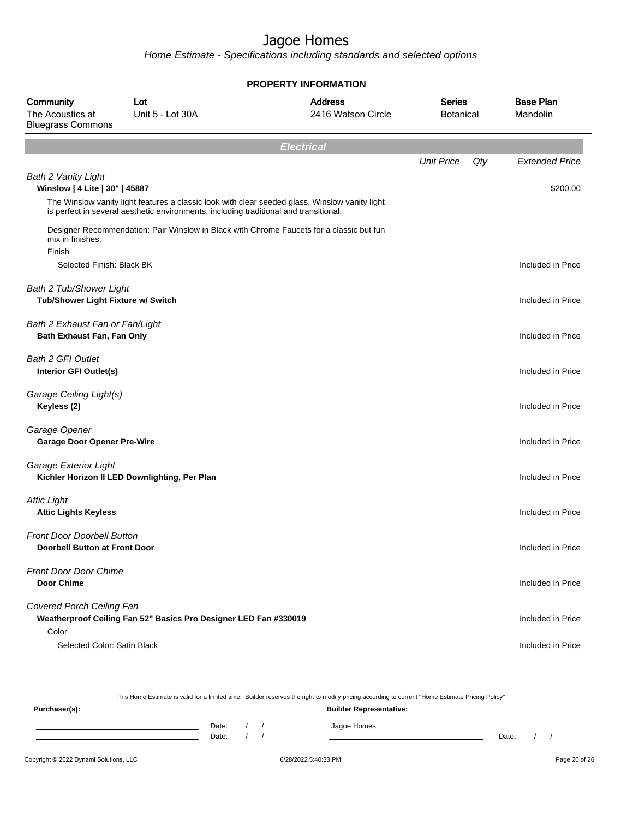Home Estimate - Specifications including standards and selected options

|                                                                      | <b>PROPERTY INFORMATION</b>                                                                    |                                      |                                   |     |                              |  |  |  |  |
|----------------------------------------------------------------------|------------------------------------------------------------------------------------------------|--------------------------------------|-----------------------------------|-----|------------------------------|--|--|--|--|
| Community<br>The Acoustics at<br><b>Bluegrass Commons</b>            | Lot<br>Unit 5 - Lot 30A                                                                        | <b>Address</b><br>2416 Watson Circle | <b>Series</b><br><b>Botanical</b> |     | <b>Base Plan</b><br>Mandolin |  |  |  |  |
|                                                                      |                                                                                                | <b>Electrical</b>                    |                                   |     |                              |  |  |  |  |
|                                                                      |                                                                                                |                                      | <b>Unit Price</b>                 | Qty | <b>Extended Price</b>        |  |  |  |  |
| <b>Bath 2 Vanity Light</b><br>Winslow   4 Lite   30"   45887         | The Winslow vanity light features a classic look with clear seeded glass. Winslow vanity light |                                      |                                   |     | \$200.00                     |  |  |  |  |
|                                                                      | is perfect in several aesthetic environments, including traditional and transitional.          |                                      |                                   |     |                              |  |  |  |  |
| mix in finishes.<br>Finish                                           | Designer Recommendation: Pair Winslow in Black with Chrome Faucets for a classic but fun       |                                      |                                   |     |                              |  |  |  |  |
| Selected Finish: Black BK                                            |                                                                                                |                                      |                                   |     | Included in Price            |  |  |  |  |
| <b>Bath 2 Tub/Shower Light</b><br>Tub/Shower Light Fixture w/ Switch |                                                                                                |                                      |                                   |     | Included in Price            |  |  |  |  |
| Bath 2 Exhaust Fan or Fan/Light<br>Bath Exhaust Fan, Fan Only        |                                                                                                |                                      |                                   |     | Included in Price            |  |  |  |  |
| Bath 2 GFI Outlet<br>Interior GFI Outlet(s)                          |                                                                                                |                                      |                                   |     | Included in Price            |  |  |  |  |
| Garage Ceiling Light(s)<br>Keyless (2)                               |                                                                                                |                                      |                                   |     | Included in Price            |  |  |  |  |
| Garage Opener<br><b>Garage Door Opener Pre-Wire</b>                  |                                                                                                |                                      |                                   |     | Included in Price            |  |  |  |  |
| Garage Exterior Light                                                | Kichler Horizon II LED Downlighting, Per Plan                                                  |                                      |                                   |     | Included in Price            |  |  |  |  |
| <b>Attic Light</b><br><b>Attic Lights Keyless</b>                    |                                                                                                |                                      |                                   |     | Included in Price            |  |  |  |  |
| <b>Front Door Doorbell Button</b><br>Doorbell Button at Front Door   |                                                                                                |                                      |                                   |     | Included in Price            |  |  |  |  |
| <b>Front Door Door Chime</b><br><b>Door Chime</b>                    |                                                                                                |                                      |                                   |     | Included in Price            |  |  |  |  |
| Covered Porch Ceiling Fan                                            | Weatherproof Ceiling Fan 52" Basics Pro Designer LED Fan #330019                               |                                      |                                   |     | Included in Price            |  |  |  |  |
| Color<br>Selected Color: Satin Black                                 |                                                                                                |                                      |                                   |     | Included in Price            |  |  |  |  |

This Home Estimate is valid for a limited time. Builder reserves the right to modify pricing according to current "Home Estimate Pricing Policy"

| Purchaser(s): |                |  | <b>Builder Representative:</b> |       |  |
|---------------|----------------|--|--------------------------------|-------|--|
|               | Date:<br>Date: |  | Jagoe Homes                    | Date: |  |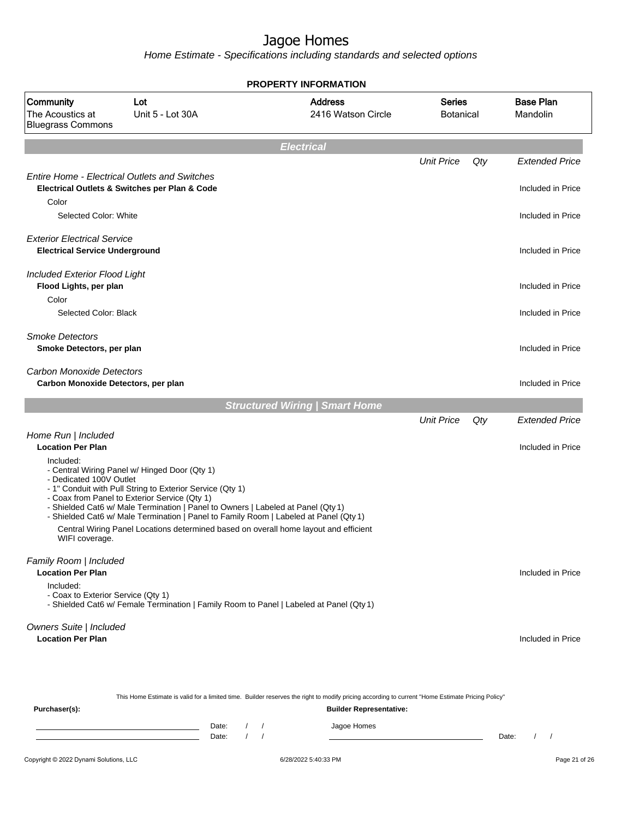|                                                                             |                                                                                                                                                                                                                                                                                                                                                                                                                                  | <b>PROPERTY INFORMATION</b>           |                                      |                                   |     |                              |
|-----------------------------------------------------------------------------|----------------------------------------------------------------------------------------------------------------------------------------------------------------------------------------------------------------------------------------------------------------------------------------------------------------------------------------------------------------------------------------------------------------------------------|---------------------------------------|--------------------------------------|-----------------------------------|-----|------------------------------|
| Community<br>The Acoustics at<br><b>Bluegrass Commons</b>                   | Lot<br>Unit 5 - Lot 30A                                                                                                                                                                                                                                                                                                                                                                                                          |                                       | <b>Address</b><br>2416 Watson Circle | <b>Series</b><br><b>Botanical</b> |     | <b>Base Plan</b><br>Mandolin |
|                                                                             |                                                                                                                                                                                                                                                                                                                                                                                                                                  | <b>Electrical</b>                     |                                      |                                   |     |                              |
|                                                                             |                                                                                                                                                                                                                                                                                                                                                                                                                                  |                                       |                                      | <b>Unit Price</b>                 | Qty | <b>Extended Price</b>        |
| Color                                                                       | <b>Entire Home - Electrical Outlets and Switches</b><br>Electrical Outlets & Switches per Plan & Code                                                                                                                                                                                                                                                                                                                            |                                       |                                      |                                   |     | Included in Price            |
| Selected Color: White                                                       |                                                                                                                                                                                                                                                                                                                                                                                                                                  |                                       |                                      |                                   |     | Included in Price            |
| <b>Exterior Electrical Service</b><br><b>Electrical Service Underground</b> |                                                                                                                                                                                                                                                                                                                                                                                                                                  |                                       |                                      |                                   |     | Included in Price            |
| Included Exterior Flood Light<br>Flood Lights, per plan<br>Color            |                                                                                                                                                                                                                                                                                                                                                                                                                                  |                                       |                                      |                                   |     | Included in Price            |
| Selected Color: Black                                                       |                                                                                                                                                                                                                                                                                                                                                                                                                                  |                                       |                                      |                                   |     | Included in Price            |
| <b>Smoke Detectors</b><br>Smoke Detectors, per plan                         |                                                                                                                                                                                                                                                                                                                                                                                                                                  |                                       |                                      |                                   |     | Included in Price            |
| Carbon Monoxide Detectors<br>Carbon Monoxide Detectors, per plan            |                                                                                                                                                                                                                                                                                                                                                                                                                                  |                                       |                                      |                                   |     | Included in Price            |
|                                                                             |                                                                                                                                                                                                                                                                                                                                                                                                                                  | <b>Structured Wiring   Smart Home</b> |                                      |                                   |     |                              |
|                                                                             |                                                                                                                                                                                                                                                                                                                                                                                                                                  |                                       |                                      | <b>Unit Price</b>                 | Qty | <b>Extended Price</b>        |
| Home Run   Included<br><b>Location Per Plan</b>                             |                                                                                                                                                                                                                                                                                                                                                                                                                                  |                                       |                                      |                                   |     | Included in Price            |
| Included:<br>- Dedicated 100V Outlet<br>WIFI coverage.                      | - Central Wiring Panel w/ Hinged Door (Qty 1)<br>- 1" Conduit with Pull String to Exterior Service (Qty 1)<br>- Coax from Panel to Exterior Service (Qty 1)<br>- Shielded Cat6 w/ Male Termination   Panel to Owners   Labeled at Panel (Qty 1)<br>- Shielded Cat6 w/ Male Termination   Panel to Family Room   Labeled at Panel (Qty 1)<br>Central Wiring Panel Locations determined based on overall home layout and efficient |                                       |                                      |                                   |     |                              |
| Family Room   Included<br><b>Location Per Plan</b>                          |                                                                                                                                                                                                                                                                                                                                                                                                                                  |                                       |                                      |                                   |     | Included in Price            |
| Included:<br>- Coax to Exterior Service (Qty 1)                             | - Shielded Cat6 w/ Female Termination   Family Room to Panel   Labeled at Panel (Qty 1)                                                                                                                                                                                                                                                                                                                                          |                                       |                                      |                                   |     |                              |
| Owners Suite   Included<br><b>Location Per Plan</b>                         |                                                                                                                                                                                                                                                                                                                                                                                                                                  |                                       |                                      |                                   |     | Included in Price            |
|                                                                             | This Home Estimate is valid for a limited time. Builder reserves the right to modify pricing according to current "Home Estimate Pricing Policy"                                                                                                                                                                                                                                                                                 |                                       |                                      |                                   |     |                              |
| Purchaser(s):                                                               |                                                                                                                                                                                                                                                                                                                                                                                                                                  |                                       | <b>Builder Representative:</b>       |                                   |     |                              |
|                                                                             | Date:<br>Date:                                                                                                                                                                                                                                                                                                                                                                                                                   |                                       | Jagoe Homes                          |                                   |     | Date:<br>$1 \quad 1$         |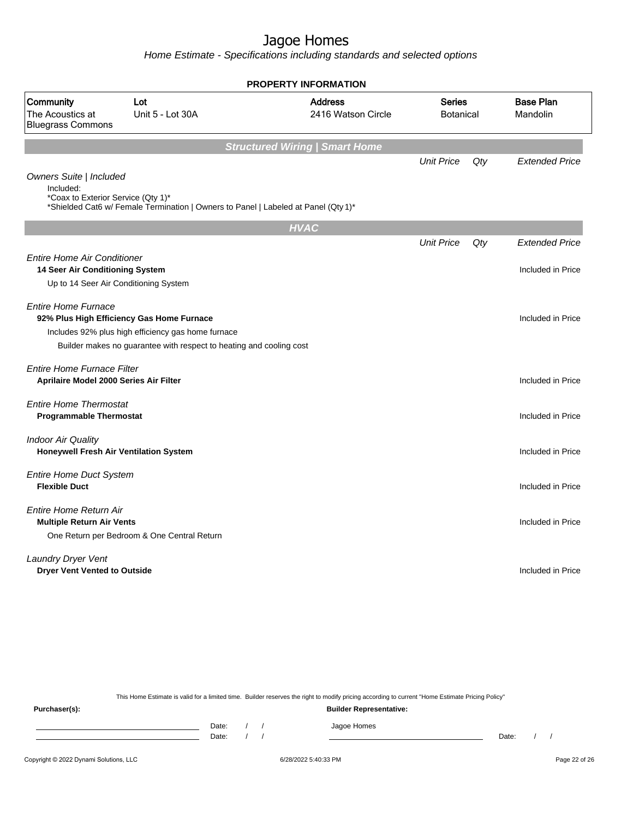Home Estimate - Specifications including standards and selected options

|                                                                            | <b>PROPERTY INFORMATION</b>                                                                                                                                            |                                      |                            |     |                              |  |  |  |
|----------------------------------------------------------------------------|------------------------------------------------------------------------------------------------------------------------------------------------------------------------|--------------------------------------|----------------------------|-----|------------------------------|--|--|--|
| Community<br>The Acoustics at<br><b>Bluegrass Commons</b>                  | Lot<br>Unit 5 - Lot 30A                                                                                                                                                | <b>Address</b><br>2416 Watson Circle | Series<br><b>Botanical</b> |     | <b>Base Plan</b><br>Mandolin |  |  |  |
| <b>Structured Wiring   Smart Home</b>                                      |                                                                                                                                                                        |                                      |                            |     |                              |  |  |  |
| Owners Suite   Included<br>Included:<br>*Coax to Exterior Service (Qty 1)* | *Shielded Cat6 w/ Female Termination   Owners to Panel   Labeled at Panel (Qty 1)*                                                                                     |                                      | <b>Unit Price</b>          | Qty | <b>Extended Price</b>        |  |  |  |
|                                                                            |                                                                                                                                                                        | <b>HVAC</b>                          |                            |     |                              |  |  |  |
|                                                                            |                                                                                                                                                                        |                                      | <b>Unit Price</b>          | Qty | <b>Extended Price</b>        |  |  |  |
| <b>Entire Home Air Conditioner</b><br>14 Seer Air Conditioning System      | Up to 14 Seer Air Conditioning System                                                                                                                                  |                                      |                            |     | Included in Price            |  |  |  |
| <b>Entire Home Furnace</b>                                                 | 92% Plus High Efficiency Gas Home Furnace<br>Includes 92% plus high efficiency gas home furnace<br>Builder makes no guarantee with respect to heating and cooling cost |                                      |                            |     | Included in Price            |  |  |  |
| Entire Home Furnace Filter<br>Aprilaire Model 2000 Series Air Filter       |                                                                                                                                                                        |                                      |                            |     | Included in Price            |  |  |  |
| <b>Entire Home Thermostat</b><br><b>Programmable Thermostat</b>            |                                                                                                                                                                        |                                      |                            |     | Included in Price            |  |  |  |
| <b>Indoor Air Quality</b><br><b>Honeywell Fresh Air Ventilation System</b> |                                                                                                                                                                        |                                      |                            |     | Included in Price            |  |  |  |
| <b>Entire Home Duct System</b><br><b>Flexible Duct</b>                     |                                                                                                                                                                        |                                      |                            |     | Included in Price            |  |  |  |
| Entire Home Return Air<br><b>Multiple Return Air Vents</b>                 | One Return per Bedroom & One Central Return                                                                                                                            |                                      |                            |     | Included in Price            |  |  |  |
| <b>Laundry Dryer Vent</b><br><b>Dryer Vent Vented to Outside</b>           |                                                                                                                                                                        |                                      |                            |     | Included in Price            |  |  |  |
|                                                                            |                                                                                                                                                                        |                                      |                            |     |                              |  |  |  |

This Home Estimate is valid for a limited time. Builder reserves the right to modify pricing according to current "Home Estimate Pricing Policy"

**Purchaser(s): Builder Representative:** Date: / / Jagoe Homes<br>Date: / / Jagoe Homes Date: / / Date: / /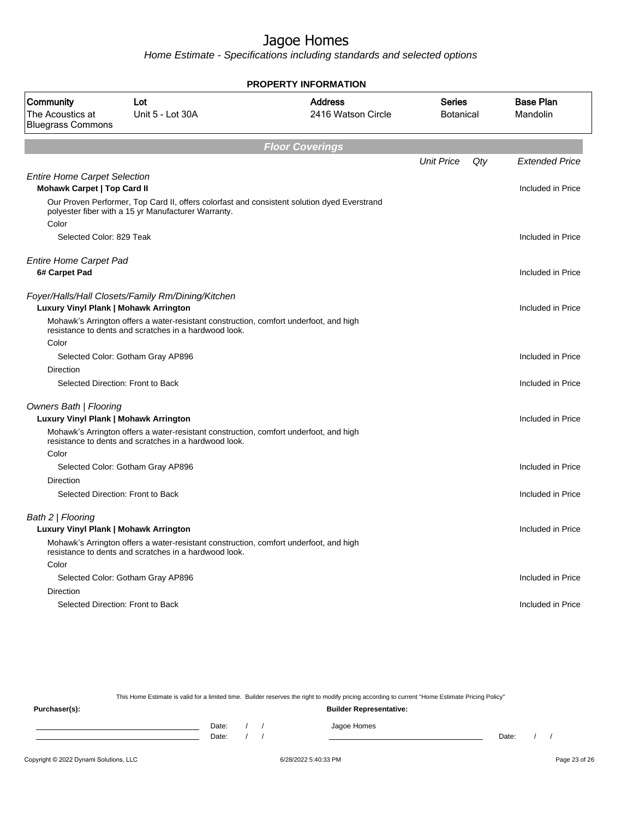Home Estimate - Specifications including standards and selected options

| <b>PROPERTY INFORMATION</b>                                               |                                                                                                                                                    |                                      |                     |     |                              |  |
|---------------------------------------------------------------------------|----------------------------------------------------------------------------------------------------------------------------------------------------|--------------------------------------|---------------------|-----|------------------------------|--|
| Community<br>The Acoustics at<br><b>Bluegrass Commons</b>                 | Lot<br>Unit 5 - Lot 30A                                                                                                                            | <b>Address</b><br>2416 Watson Circle | Series<br>Botanical |     | <b>Base Plan</b><br>Mandolin |  |
|                                                                           |                                                                                                                                                    | <b>Floor Coverings</b>               |                     |     |                              |  |
|                                                                           |                                                                                                                                                    |                                      | <b>Unit Price</b>   | Qty | <b>Extended Price</b>        |  |
| <b>Entire Home Carpet Selection</b><br><b>Mohawk Carpet   Top Card II</b> |                                                                                                                                                    |                                      |                     |     | Included in Price            |  |
| Color                                                                     | Our Proven Performer, Top Card II, offers colorfast and consistent solution dyed Everstrand<br>polyester fiber with a 15 yr Manufacturer Warranty. |                                      |                     |     |                              |  |
| Selected Color: 829 Teak                                                  |                                                                                                                                                    |                                      |                     |     | Included in Price            |  |
| <b>Entire Home Carpet Pad</b><br>6# Carpet Pad                            |                                                                                                                                                    |                                      |                     |     | Included in Price            |  |
|                                                                           |                                                                                                                                                    |                                      |                     |     |                              |  |
| Luxury Vinyl Plank   Mohawk Arrington                                     | Foyer/Halls/Hall Closets/Family Rm/Dining/Kitchen                                                                                                  |                                      |                     |     | Included in Price            |  |
|                                                                           | Mohawk's Arrington offers a water-resistant construction, comfort underfoot, and high<br>resistance to dents and scratches in a hardwood look.     |                                      |                     |     |                              |  |
| Color                                                                     |                                                                                                                                                    |                                      |                     |     |                              |  |
|                                                                           | Selected Color: Gotham Gray AP896                                                                                                                  |                                      |                     |     | Included in Price            |  |
| Direction                                                                 |                                                                                                                                                    |                                      |                     |     |                              |  |
|                                                                           | Selected Direction: Front to Back                                                                                                                  |                                      |                     |     | Included in Price            |  |
| <b>Owners Bath   Flooring</b><br>Luxury Vinyl Plank   Mohawk Arrington    |                                                                                                                                                    |                                      |                     |     | Included in Price            |  |
|                                                                           | Mohawk's Arrington offers a water-resistant construction, comfort underfoot, and high<br>resistance to dents and scratches in a hardwood look.     |                                      |                     |     |                              |  |
| Color                                                                     |                                                                                                                                                    |                                      |                     |     |                              |  |
|                                                                           | Selected Color: Gotham Gray AP896                                                                                                                  |                                      |                     |     | Included in Price            |  |
| <b>Direction</b>                                                          |                                                                                                                                                    |                                      |                     |     |                              |  |
|                                                                           | Selected Direction: Front to Back                                                                                                                  |                                      |                     |     | Included in Price            |  |
| Bath 2   Flooring                                                         |                                                                                                                                                    |                                      |                     |     |                              |  |
|                                                                           | Luxury Vinyl Plank   Mohawk Arrington                                                                                                              |                                      |                     |     | Included in Price            |  |
|                                                                           | Mohawk's Arrington offers a water-resistant construction, comfort underfoot, and high<br>resistance to dents and scratches in a hardwood look.     |                                      |                     |     |                              |  |
| Color                                                                     |                                                                                                                                                    |                                      |                     |     |                              |  |
|                                                                           | Selected Color: Gotham Gray AP896                                                                                                                  |                                      |                     |     | Included in Price            |  |
| Direction                                                                 |                                                                                                                                                    |                                      |                     |     |                              |  |
|                                                                           | Selected Direction: Front to Back                                                                                                                  |                                      |                     |     | Included in Price            |  |
|                                                                           |                                                                                                                                                    |                                      |                     |     |                              |  |

This Home Estimate is valid for a limited time. Builder reserves the right to modify pricing according to current "Home Estimate Pricing Policy"

**Purchaser(s): Builder Representative:** Date: / / Jagoe Homes<br>Date: / / Jagoe Homes Date: / / Date: / /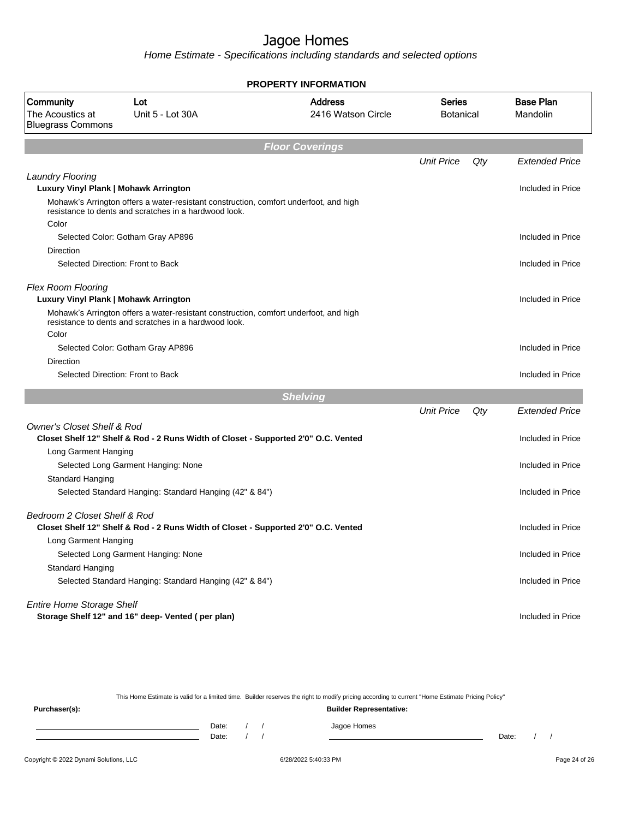Home Estimate - Specifications including standards and selected options

| <b>PROPERTY INFORMATION</b>                                        |                                                                                                                                                |                                      |                            |     |                              |  |  |
|--------------------------------------------------------------------|------------------------------------------------------------------------------------------------------------------------------------------------|--------------------------------------|----------------------------|-----|------------------------------|--|--|
| Community<br>The Acoustics at<br><b>Bluegrass Commons</b>          | Lot<br>Unit 5 - Lot 30A                                                                                                                        | <b>Address</b><br>2416 Watson Circle | Series<br><b>Botanical</b> |     | <b>Base Plan</b><br>Mandolin |  |  |
|                                                                    |                                                                                                                                                | <b>Floor Coverings</b>               |                            |     |                              |  |  |
|                                                                    |                                                                                                                                                |                                      | <b>Unit Price</b>          | Qty | <b>Extended Price</b>        |  |  |
| <b>Laundry Flooring</b><br>Luxury Vinyl Plank   Mohawk Arrington   |                                                                                                                                                |                                      |                            |     | Included in Price            |  |  |
|                                                                    | Mohawk's Arrington offers a water-resistant construction, comfort underfoot, and high<br>resistance to dents and scratches in a hardwood look. |                                      |                            |     |                              |  |  |
| Color                                                              |                                                                                                                                                |                                      |                            |     |                              |  |  |
|                                                                    | Selected Color: Gotham Gray AP896                                                                                                              |                                      |                            |     | Included in Price            |  |  |
| Direction                                                          | Selected Direction: Front to Back                                                                                                              |                                      |                            |     | Included in Price            |  |  |
|                                                                    |                                                                                                                                                |                                      |                            |     |                              |  |  |
| <b>Flex Room Flooring</b><br>Luxury Vinyl Plank   Mohawk Arrington |                                                                                                                                                |                                      |                            |     | Included in Price            |  |  |
|                                                                    | Mohawk's Arrington offers a water-resistant construction, comfort underfoot, and high<br>resistance to dents and scratches in a hardwood look. |                                      |                            |     |                              |  |  |
| Color                                                              |                                                                                                                                                |                                      |                            |     |                              |  |  |
| Direction                                                          | Selected Color: Gotham Gray AP896                                                                                                              |                                      |                            |     | Included in Price            |  |  |
|                                                                    | Selected Direction: Front to Back                                                                                                              |                                      |                            |     | Included in Price            |  |  |
|                                                                    |                                                                                                                                                |                                      |                            |     |                              |  |  |
|                                                                    |                                                                                                                                                | <b>Shelving</b>                      |                            |     |                              |  |  |
|                                                                    |                                                                                                                                                |                                      | <b>Unit Price</b>          | Qty | <b>Extended Price</b>        |  |  |
| <b>Owner's Closet Shelf &amp; Rod</b>                              |                                                                                                                                                |                                      |                            |     | Included in Price            |  |  |
| Long Garment Hanging                                               | Closet Shelf 12" Shelf & Rod - 2 Runs Width of Closet - Supported 2'0" O.C. Vented                                                             |                                      |                            |     |                              |  |  |
|                                                                    | Selected Long Garment Hanging: None                                                                                                            |                                      |                            |     | Included in Price            |  |  |
| Standard Hanging                                                   |                                                                                                                                                |                                      |                            |     |                              |  |  |
|                                                                    | Selected Standard Hanging: Standard Hanging (42" & 84")                                                                                        |                                      |                            |     | Included in Price            |  |  |
| Bedroom 2 Closet Shelf & Rod                                       |                                                                                                                                                |                                      |                            |     |                              |  |  |
|                                                                    | Closet Shelf 12" Shelf & Rod - 2 Runs Width of Closet - Supported 2'0" O.C. Vented                                                             |                                      |                            |     | Included in Price            |  |  |
| Long Garment Hanging                                               | Selected Long Garment Hanging: None                                                                                                            |                                      |                            |     | Included in Price            |  |  |
| Standard Hanging                                                   |                                                                                                                                                |                                      |                            |     |                              |  |  |
|                                                                    | Selected Standard Hanging: Standard Hanging (42" & 84")                                                                                        |                                      |                            |     | Included in Price            |  |  |
| <b>Entire Home Storage Shelf</b>                                   |                                                                                                                                                |                                      |                            |     |                              |  |  |
|                                                                    | Storage Shelf 12" and 16" deep- Vented (per plan)                                                                                              |                                      |                            |     | Included in Price            |  |  |
|                                                                    |                                                                                                                                                |                                      |                            |     |                              |  |  |

This Home Estimate is valid for a limited time. Builder reserves the right to modify pricing according to current "Home Estimate Pricing Policy"

| Purchaser(s): |                    |  | <b>Builder Representative:</b> |       |  |  |
|---------------|--------------------|--|--------------------------------|-------|--|--|
|               | Date: $/$<br>Date: |  | Jagoe Homes                    | Date: |  |  |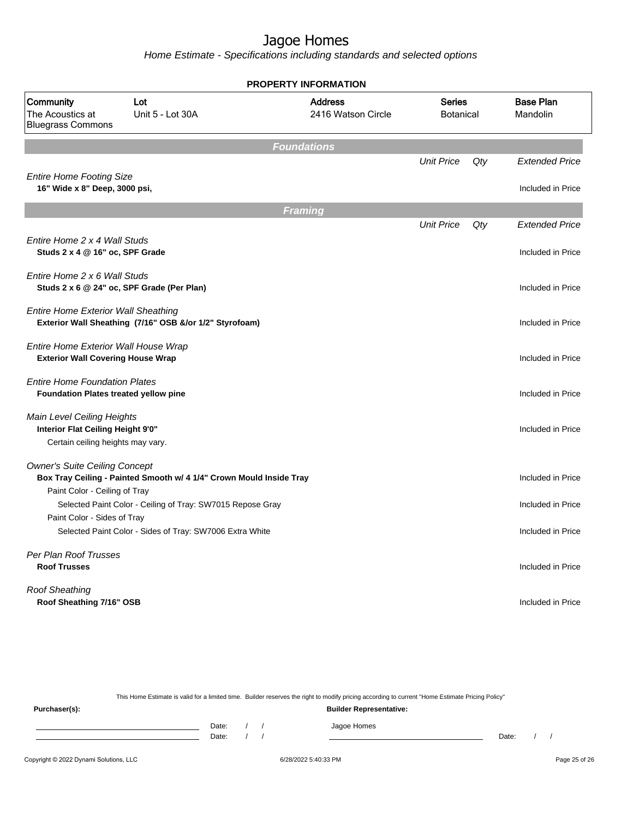Home Estimate - Specifications including standards and selected options

|                                                                                                      |                                                                     | <b>PROPERTY INFORMATION</b>          |                                   |     |                              |  |  |
|------------------------------------------------------------------------------------------------------|---------------------------------------------------------------------|--------------------------------------|-----------------------------------|-----|------------------------------|--|--|
| Community<br>The Acoustics at<br><b>Bluegrass Commons</b>                                            | Lot<br>Unit 5 - Lot 30A                                             | <b>Address</b><br>2416 Watson Circle | <b>Series</b><br><b>Botanical</b> |     | <b>Base Plan</b><br>Mandolin |  |  |
|                                                                                                      |                                                                     | <b>Foundations</b>                   |                                   |     |                              |  |  |
|                                                                                                      |                                                                     |                                      | <b>Unit Price</b>                 | Qty | <b>Extended Price</b>        |  |  |
| <b>Entire Home Footing Size</b><br>16" Wide x 8" Deep, 3000 psi,                                     |                                                                     |                                      |                                   |     | Included in Price            |  |  |
|                                                                                                      |                                                                     | <b>Framing</b>                       |                                   |     |                              |  |  |
|                                                                                                      |                                                                     |                                      | <b>Unit Price</b>                 | Qty | <b>Extended Price</b>        |  |  |
| Entire Home 2 x 4 Wall Studs<br>Studs 2 x 4 @ 16" oc, SPF Grade                                      |                                                                     |                                      |                                   |     | Included in Price            |  |  |
| Entire Home 2 x 6 Wall Studs                                                                         | Studs 2 x 6 @ 24" oc, SPF Grade (Per Plan)                          |                                      |                                   |     | Included in Price            |  |  |
| <b>Entire Home Exterior Wall Sheathing</b>                                                           | Exterior Wall Sheathing (7/16" OSB &/or 1/2" Styrofoam)             |                                      |                                   |     | Included in Price            |  |  |
| Entire Home Exterior Wall House Wrap<br><b>Exterior Wall Covering House Wrap</b>                     |                                                                     |                                      |                                   |     | Included in Price            |  |  |
| <b>Entire Home Foundation Plates</b><br><b>Foundation Plates treated yellow pine</b>                 |                                                                     |                                      |                                   |     | Included in Price            |  |  |
| Main Level Ceiling Heights<br>Interior Flat Ceiling Height 9'0"<br>Certain ceiling heights may vary. |                                                                     |                                      |                                   |     | Included in Price            |  |  |
| <b>Owner's Suite Ceiling Concept</b>                                                                 | Box Tray Ceiling - Painted Smooth w/ 4 1/4" Crown Mould Inside Tray |                                      |                                   |     | Included in Price            |  |  |
| Paint Color - Ceiling of Tray                                                                        | Selected Paint Color - Ceiling of Tray: SW7015 Repose Gray          |                                      |                                   |     | Included in Price            |  |  |
| Paint Color - Sides of Tray                                                                          | Selected Paint Color - Sides of Tray: SW7006 Extra White            |                                      |                                   |     | Included in Price            |  |  |
| Per Plan Roof Trusses<br><b>Roof Trusses</b>                                                         |                                                                     |                                      |                                   |     | Included in Price            |  |  |
| <b>Roof Sheathing</b><br>Roof Sheathing 7/16" OSB                                                    |                                                                     |                                      |                                   |     | Included in Price            |  |  |

This Home Estimate is valid for a limited time. Builder reserves the right to modify pricing according to current "Home Estimate Pricing Policy" **Purchaser(s): Builder Representative:** Date: / / Jagoe Homes<br>Date: / / Jagoe Homes Date: / / Date: / /